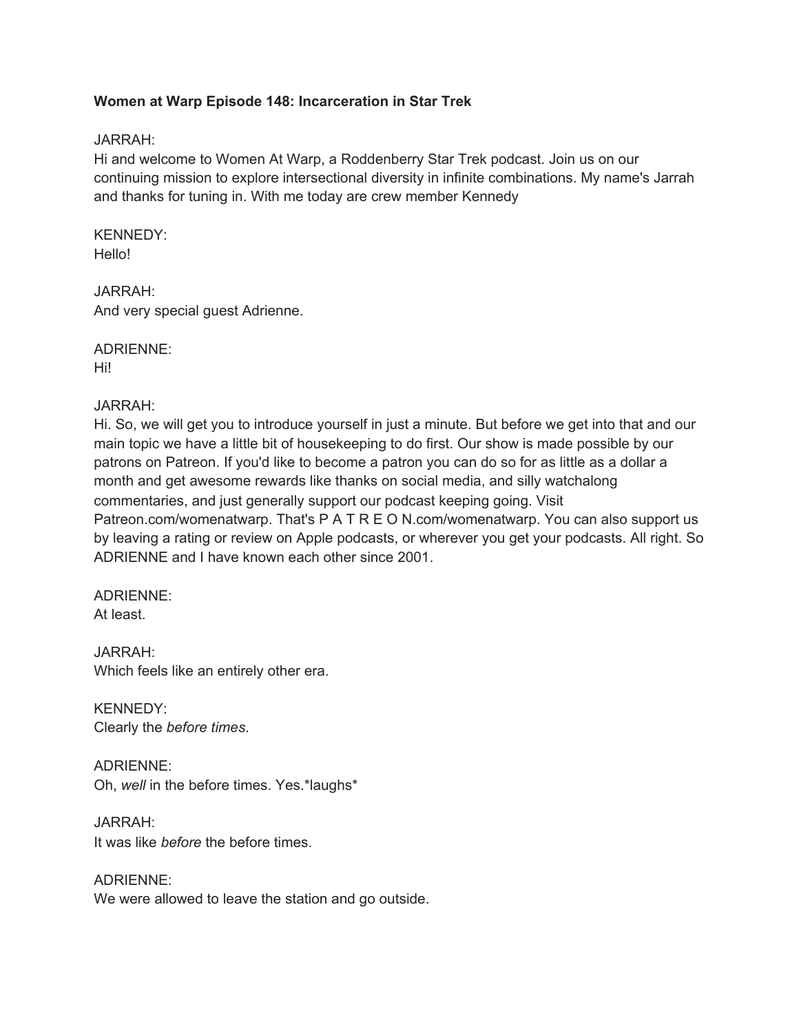## **Women at Warp Episode 148: Incarceration in Star Trek**

#### JARRAH:

Hi and welcome to Women At Warp, a Roddenberry Star Trek podcast. Join us on our continuing mission to explore intersectional diversity in infinite combinations. My name's Jarrah and thanks for tuning in. With me today are crew member Kennedy

# KENNEDY:

Hello!

## JARRAH:

And very special guest Adrienne.

# ADRIENNE:

Hi!

## JARRAH:

Hi. So, we will get you to introduce yourself in just a minute. But before we get into that and our main topic we have a little bit of housekeeping to do first. Our show is made possible by our patrons on Patreon. If you'd like to become a patron you can do so for as little as a dollar a month and get awesome rewards like thanks on social media, and silly watchalong commentaries, and just generally support our podcast keeping going. Visit Patreon.com/womenatwarp. That's P A T R E O N.com/womenatwarp. You can also support us by leaving a rating or review on Apple podcasts, or wherever you get your podcasts. All right. So ADRIENNE and I have known each other since 2001.

#### ADRIENNE: At least.

JARRAH: Which feels like an entirely other era.

KENNEDY: Clearly the *before times*.

ADRIENNE: Oh, *well* in the before times. Yes.\*laughs\*

JARRAH: It was like *before* the before times.

ADRIENNE: We were allowed to leave the station and go outside.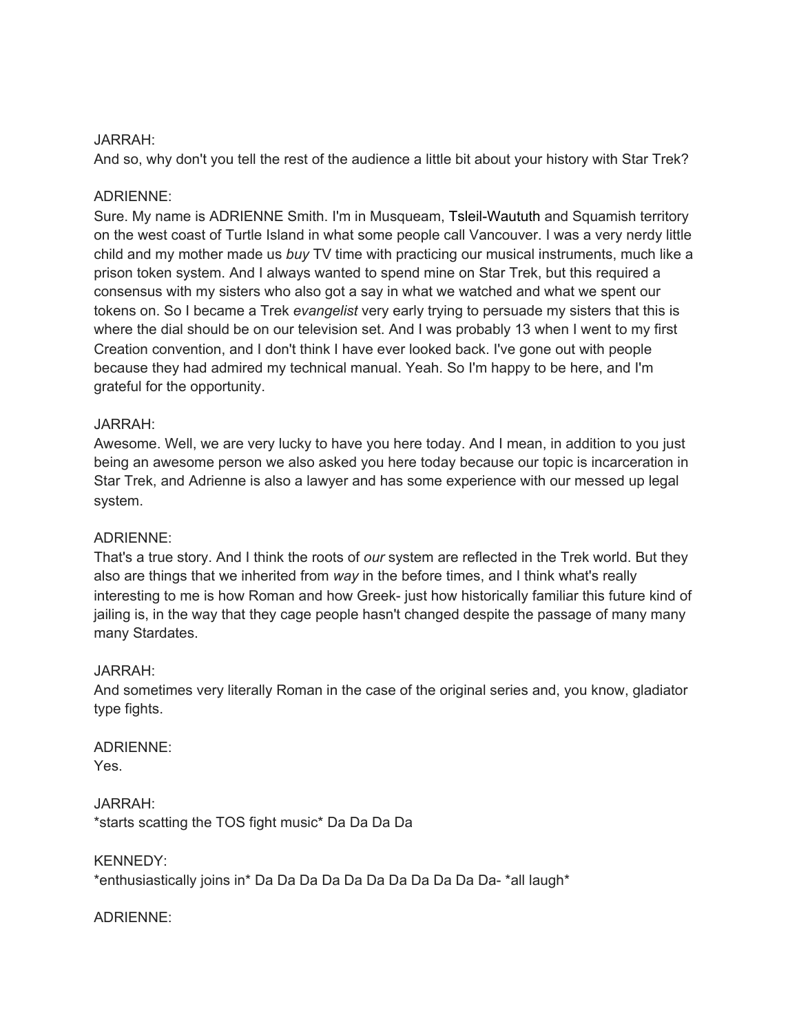#### JARRAH:

And so, why don't you tell the rest of the audience a little bit about your history with Star Trek?

#### ADRIENNE:

Sure. My name is ADRIENNE Smith. I'm in Musqueam, Tsleil-Waututh and Squamish territory on the west coast of Turtle Island in what some people call Vancouver. I was a very nerdy little child and my mother made us *buy* TV time with practicing our musical instruments, much like a prison token system. And I always wanted to spend mine on Star Trek, but this required a consensus with my sisters who also got a say in what we watched and what we spent our tokens on. So I became a Trek *evangelist* very early trying to persuade my sisters that this is where the dial should be on our television set. And I was probably 13 when I went to my first Creation convention, and I don't think I have ever looked back. I've gone out with people because they had admired my technical manual. Yeah. So I'm happy to be here, and I'm grateful for the opportunity.

#### JARRAH:

Awesome. Well, we are very lucky to have you here today. And I mean, in addition to you just being an awesome person we also asked you here today because our topic is incarceration in Star Trek, and Adrienne is also a lawyer and has some experience with our messed up legal system.

#### ADRIENNE:

That's a true story. And I think the roots of *our* system are reflected in the Trek world. But they also are things that we inherited from *way* in the before times, and I think what's really interesting to me is how Roman and how Greek- just how historically familiar this future kind of jailing is, in the way that they cage people hasn't changed despite the passage of many many many Stardates.

#### JARRAH:

And sometimes very literally Roman in the case of the original series and, you know, gladiator type fights.

#### ADRIENNE: Yes.

JARRAH: \*starts scatting the TOS fight music\* Da Da Da Da

## KENNEDY: \*enthusiastically joins in\* Da Da Da Da Da Da Da Da Da Da Da- \*all laugh\*

#### ADRIENNE: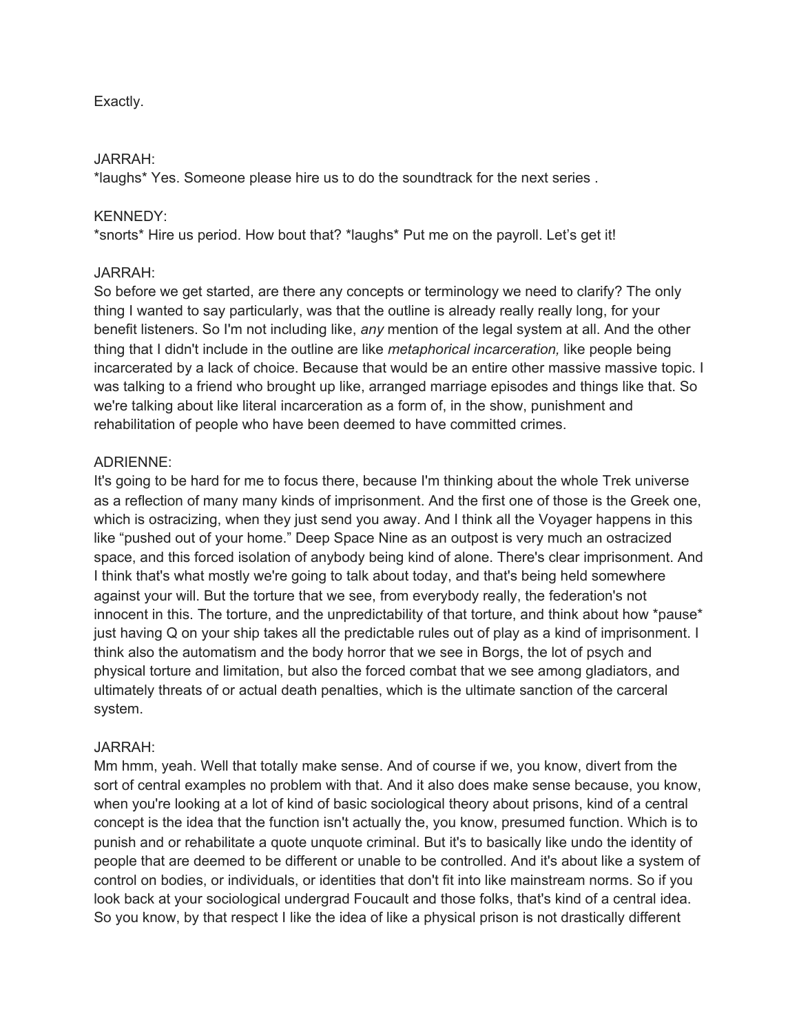## Exactly.

#### JARRAH:

\*laughs\* Yes. Someone please hire us to do the soundtrack for the next series .

#### KENNEDY:

\*snorts\* Hire us period. How bout that? \*laughs\* Put me on the payroll. Let's get it!

#### JARRAH:

So before we get started, are there any concepts or terminology we need to clarify? The only thing I wanted to say particularly, was that the outline is already really really long, for your benefit listeners. So I'm not including like, *any* mention of the legal system at all. And the other thing that I didn't include in the outline are like *metaphorical incarceration,* like people being incarcerated by a lack of choice. Because that would be an entire other massive massive topic. I was talking to a friend who brought up like, arranged marriage episodes and things like that. So we're talking about like literal incarceration as a form of, in the show, punishment and rehabilitation of people who have been deemed to have committed crimes.

#### ADRIENNE:

It's going to be hard for me to focus there, because I'm thinking about the whole Trek universe as a reflection of many many kinds of imprisonment. And the first one of those is the Greek one, which is ostracizing, when they just send you away. And I think all the Voyager happens in this like "pushed out of your home." Deep Space Nine as an outpost is very much an ostracized space, and this forced isolation of anybody being kind of alone. There's clear imprisonment. And I think that's what mostly we're going to talk about today, and that's being held somewhere against your will. But the torture that we see, from everybody really, the federation's not innocent in this. The torture, and the unpredictability of that torture, and think about how \*pause\* just having Q on your ship takes all the predictable rules out of play as a kind of imprisonment. I think also the automatism and the body horror that we see in Borgs, the lot of psych and physical torture and limitation, but also the forced combat that we see among gladiators, and ultimately threats of or actual death penalties, which is the ultimate sanction of the carceral system.

#### JARRAH:

Mm hmm, yeah. Well that totally make sense. And of course if we, you know, divert from the sort of central examples no problem with that. And it also does make sense because, you know, when you're looking at a lot of kind of basic sociological theory about prisons, kind of a central concept is the idea that the function isn't actually the, you know, presumed function. Which is to punish and or rehabilitate a quote unquote criminal. But it's to basically like undo the identity of people that are deemed to be different or unable to be controlled. And it's about like a system of control on bodies, or individuals, or identities that don't fit into like mainstream norms. So if you look back at your sociological undergrad Foucault and those folks, that's kind of a central idea. So you know, by that respect I like the idea of like a physical prison is not drastically different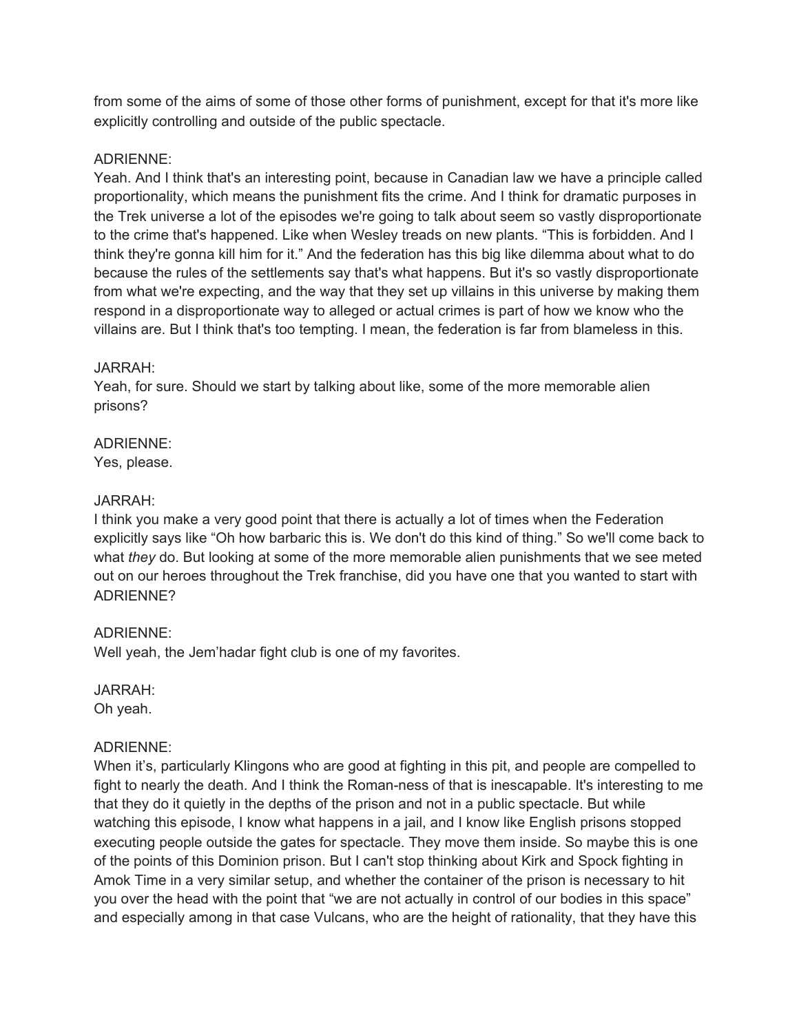from some of the aims of some of those other forms of punishment, except for that it's more like explicitly controlling and outside of the public spectacle.

## ADRIENNE:

Yeah. And I think that's an interesting point, because in Canadian law we have a principle called proportionality, which means the punishment fits the crime. And I think for dramatic purposes in the Trek universe a lot of the episodes we're going to talk about seem so vastly disproportionate to the crime that's happened. Like when Wesley treads on new plants. "This is forbidden. And I think they're gonna kill him for it." And the federation has this big like dilemma about what to do because the rules of the settlements say that's what happens. But it's so vastly disproportionate from what we're expecting, and the way that they set up villains in this universe by making them respond in a disproportionate way to alleged or actual crimes is part of how we know who the villains are. But I think that's too tempting. I mean, the federation is far from blameless in this.

# JARRAH:

Yeah, for sure. Should we start by talking about like, some of the more memorable alien prisons?

# ADRIENNE:

Yes, please.

# JARRAH:

I think you make a very good point that there is actually a lot of times when the Federation explicitly says like "Oh how barbaric this is. We don't do this kind of thing." So we'll come back to what *they* do. But looking at some of the more memorable alien punishments that we see meted out on our heroes throughout the Trek franchise, did you have one that you wanted to start with ADRIENNE?

# ADRIENNE:

Well yeah, the Jem'hadar fight club is one of my favorites.

JARRAH: Oh yeah.

# ADRIENNE:

When it's, particularly Klingons who are good at fighting in this pit, and people are compelled to fight to nearly the death. And I think the Roman-ness of that is inescapable. It's interesting to me that they do it quietly in the depths of the prison and not in a public spectacle. But while watching this episode, I know what happens in a jail, and I know like English prisons stopped executing people outside the gates for spectacle. They move them inside. So maybe this is one of the points of this Dominion prison. But I can't stop thinking about Kirk and Spock fighting in Amok Time in a very similar setup, and whether the container of the prison is necessary to hit you over the head with the point that "we are not actually in control of our bodies in this space" and especially among in that case Vulcans, who are the height of rationality, that they have this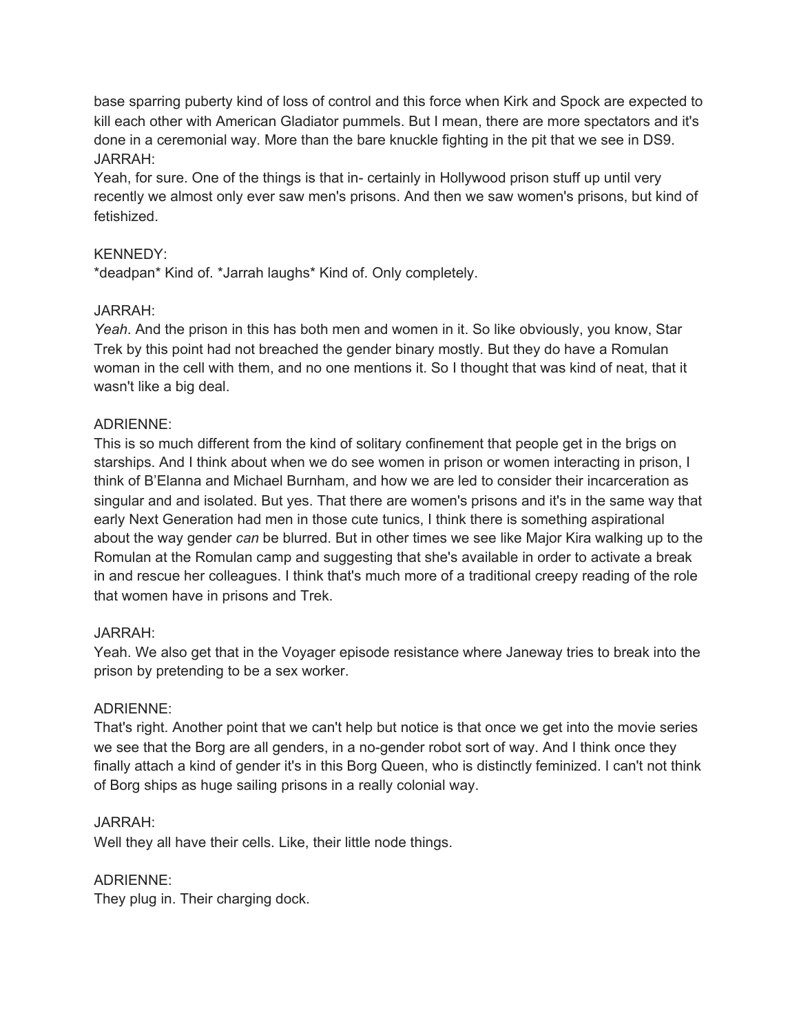base sparring puberty kind of loss of control and this force when Kirk and Spock are expected to kill each other with American Gladiator pummels. But I mean, there are more spectators and it's done in a ceremonial way. More than the bare knuckle fighting in the pit that we see in DS9. JARRAH:

Yeah, for sure. One of the things is that in- certainly in Hollywood prison stuff up until very recently we almost only ever saw men's prisons. And then we saw women's prisons, but kind of fetishized.

## KENNEDY:

\*deadpan\* Kind of. \*Jarrah laughs\* Kind of. Only completely.

## JARRAH:

*Yeah*. And the prison in this has both men and women in it. So like obviously, you know, Star Trek by this point had not breached the gender binary mostly. But they do have a Romulan woman in the cell with them, and no one mentions it. So I thought that was kind of neat, that it wasn't like a big deal.

## ADRIENNE:

This is so much different from the kind of solitary confinement that people get in the brigs on starships. And I think about when we do see women in prison or women interacting in prison, I think of B'Elanna and Michael Burnham, and how we are led to consider their incarceration as singular and and isolated. But yes. That there are women's prisons and it's in the same way that early Next Generation had men in those cute tunics, I think there is something aspirational about the way gender *can* be blurred. But in other times we see like Major Kira walking up to the Romulan at the Romulan camp and suggesting that she's available in order to activate a break in and rescue her colleagues. I think that's much more of a traditional creepy reading of the role that women have in prisons and Trek.

#### JARRAH:

Yeah. We also get that in the Voyager episode resistance where Janeway tries to break into the prison by pretending to be a sex worker.

## ADRIENNE:

That's right. Another point that we can't help but notice is that once we get into the movie series we see that the Borg are all genders, in a no-gender robot sort of way. And I think once they finally attach a kind of gender it's in this Borg Queen, who is distinctly feminized. I can't not think of Borg ships as huge sailing prisons in a really colonial way.

#### JARRAH:

Well they all have their cells. Like, their little node things.

#### ADRIENNE:

They plug in. Their charging dock.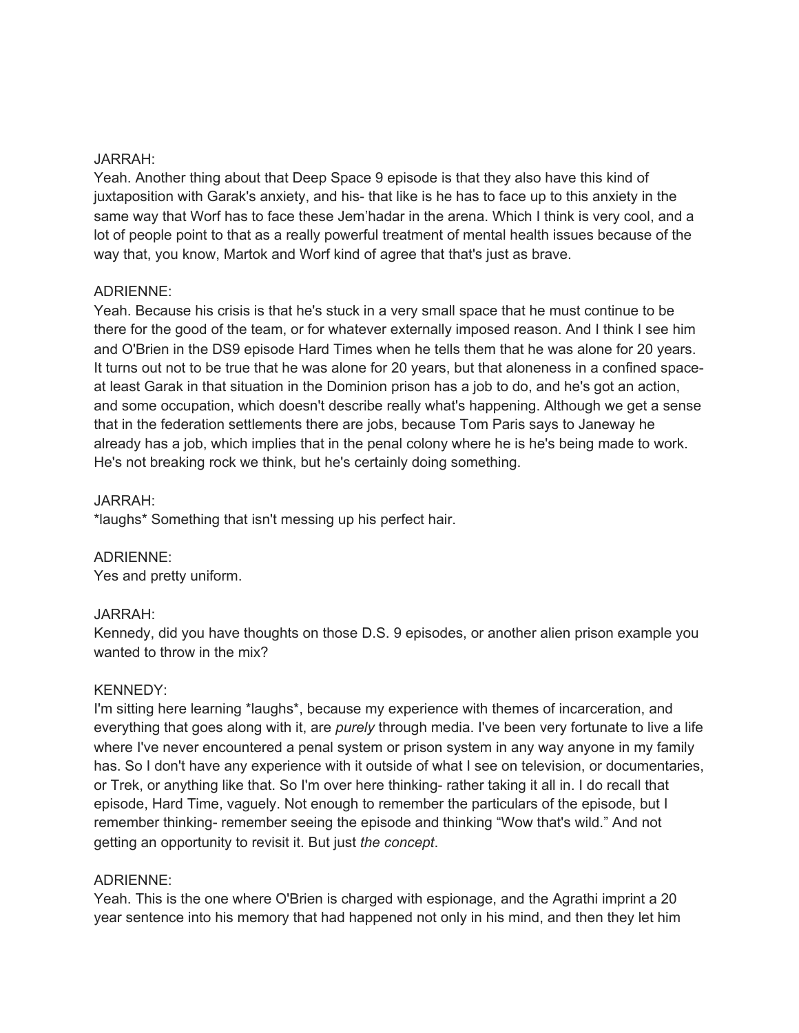#### JARRAH:

Yeah. Another thing about that Deep Space 9 episode is that they also have this kind of juxtaposition with Garak's anxiety, and his- that like is he has to face up to this anxiety in the same way that Worf has to face these Jem'hadar in the arena. Which I think is very cool, and a lot of people point to that as a really powerful treatment of mental health issues because of the way that, you know, Martok and Worf kind of agree that that's just as brave.

#### ADRIENNE:

Yeah. Because his crisis is that he's stuck in a very small space that he must continue to be there for the good of the team, or for whatever externally imposed reason. And I think I see him and O'Brien in the DS9 episode Hard Times when he tells them that he was alone for 20 years. It turns out not to be true that he was alone for 20 years, but that aloneness in a confined spaceat least Garak in that situation in the Dominion prison has a job to do, and he's got an action, and some occupation, which doesn't describe really what's happening. Although we get a sense that in the federation settlements there are jobs, because Tom Paris says to Janeway he already has a job, which implies that in the penal colony where he is he's being made to work. He's not breaking rock we think, but he's certainly doing something.

#### JARRAH:

\*laughs\* Something that isn't messing up his perfect hair.

ADRIENNE:

Yes and pretty uniform.

#### JARRAH:

Kennedy, did you have thoughts on those D.S. 9 episodes, or another alien prison example you wanted to throw in the mix?

#### KENNEDY:

I'm sitting here learning \*laughs\*, because my experience with themes of incarceration, and everything that goes along with it, are *purely* through media. I've been very fortunate to live a life where I've never encountered a penal system or prison system in any way anyone in my family has. So I don't have any experience with it outside of what I see on television, or documentaries, or Trek, or anything like that. So I'm over here thinking- rather taking it all in. I do recall that episode, Hard Time, vaguely. Not enough to remember the particulars of the episode, but I remember thinking- remember seeing the episode and thinking "Wow that's wild." And not getting an opportunity to revisit it. But just *the concept*.

#### ADRIENNE:

Yeah. This is the one where O'Brien is charged with espionage, and the Agrathi imprint a 20 year sentence into his memory that had happened not only in his mind, and then they let him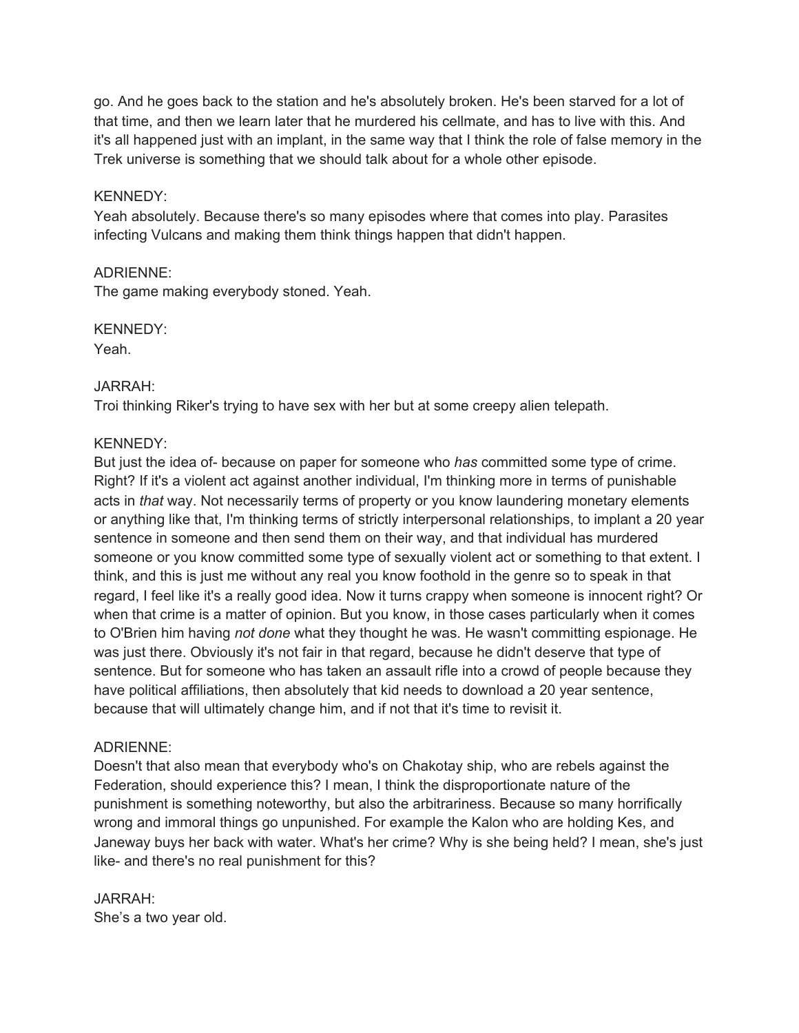go. And he goes back to the station and he's absolutely broken. He's been starved for a lot of that time, and then we learn later that he murdered his cellmate, and has to live with this. And it's all happened just with an implant, in the same way that I think the role of false memory in the Trek universe is something that we should talk about for a whole other episode.

#### KENNEDY:

Yeah absolutely. Because there's so many episodes where that comes into play. Parasites infecting Vulcans and making them think things happen that didn't happen.

## ADRIENNE:

The game making everybody stoned. Yeah.

## KENNEDY:

Yeah.

## JARRAH:

Troi thinking Riker's trying to have sex with her but at some creepy alien telepath.

## KENNEDY:

But just the idea of- because on paper for someone who *has* committed some type of crime. Right? If it's a violent act against another individual, I'm thinking more in terms of punishable acts in *that* way. Not necessarily terms of property or you know laundering monetary elements or anything like that, I'm thinking terms of strictly interpersonal relationships, to implant a 20 year sentence in someone and then send them on their way, and that individual has murdered someone or you know committed some type of sexually violent act or something to that extent. I think, and this is just me without any real you know foothold in the genre so to speak in that regard, I feel like it's a really good idea. Now it turns crappy when someone is innocent right? Or when that crime is a matter of opinion. But you know, in those cases particularly when it comes to O'Brien him having *not done* what they thought he was. He wasn't committing espionage. He was just there. Obviously it's not fair in that regard, because he didn't deserve that type of sentence. But for someone who has taken an assault rifle into a crowd of people because they have political affiliations, then absolutely that kid needs to download a 20 year sentence, because that will ultimately change him, and if not that it's time to revisit it.

#### ADRIENNE:

Doesn't that also mean that everybody who's on Chakotay ship, who are rebels against the Federation, should experience this? I mean, I think the disproportionate nature of the punishment is something noteworthy, but also the arbitrariness. Because so many horrifically wrong and immoral things go unpunished. For example the Kalon who are holding Kes, and Janeway buys her back with water. What's her crime? Why is she being held? I mean, she's just like- and there's no real punishment for this?

#### JARRAH: She's a two year old.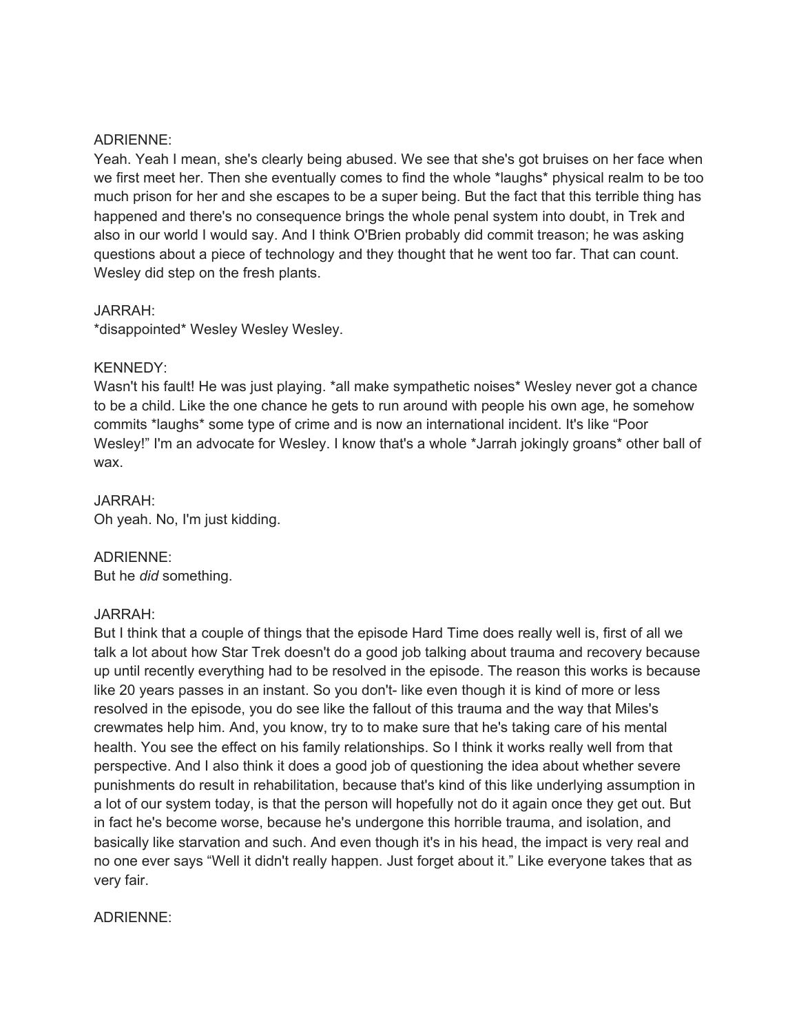#### ADRIENNE:

Yeah. Yeah I mean, she's clearly being abused. We see that she's got bruises on her face when we first meet her. Then she eventually comes to find the whole \*laughs\* physical realm to be too much prison for her and she escapes to be a super being. But the fact that this terrible thing has happened and there's no consequence brings the whole penal system into doubt, in Trek and also in our world I would say. And I think O'Brien probably did commit treason; he was asking questions about a piece of technology and they thought that he went too far. That can count. Wesley did step on the fresh plants.

#### JARRAH:

\*disappointed\* Wesley Wesley Wesley.

#### KENNEDY:

Wasn't his fault! He was just playing. \*all make sympathetic noises\* Wesley never got a chance to be a child. Like the one chance he gets to run around with people his own age, he somehow commits \*laughs\* some type of crime and is now an international incident. It's like "Poor Wesley!" I'm an advocate for Wesley. I know that's a whole \*Jarrah jokingly groans\* other ball of wax.

JARRAH: Oh yeah. No, I'm just kidding.

ADRIENNE: But he *did* something.

#### JARRAH:

But I think that a couple of things that the episode Hard Time does really well is, first of all we talk a lot about how Star Trek doesn't do a good job talking about trauma and recovery because up until recently everything had to be resolved in the episode. The reason this works is because like 20 years passes in an instant. So you don't- like even though it is kind of more or less resolved in the episode, you do see like the fallout of this trauma and the way that Miles's crewmates help him. And, you know, try to to make sure that he's taking care of his mental health. You see the effect on his family relationships. So I think it works really well from that perspective. And I also think it does a good job of questioning the idea about whether severe punishments do result in rehabilitation, because that's kind of this like underlying assumption in a lot of our system today, is that the person will hopefully not do it again once they get out. But in fact he's become worse, because he's undergone this horrible trauma, and isolation, and basically like starvation and such. And even though it's in his head, the impact is very real and no one ever says "Well it didn't really happen. Just forget about it." Like everyone takes that as very fair.

#### ADRIENNE: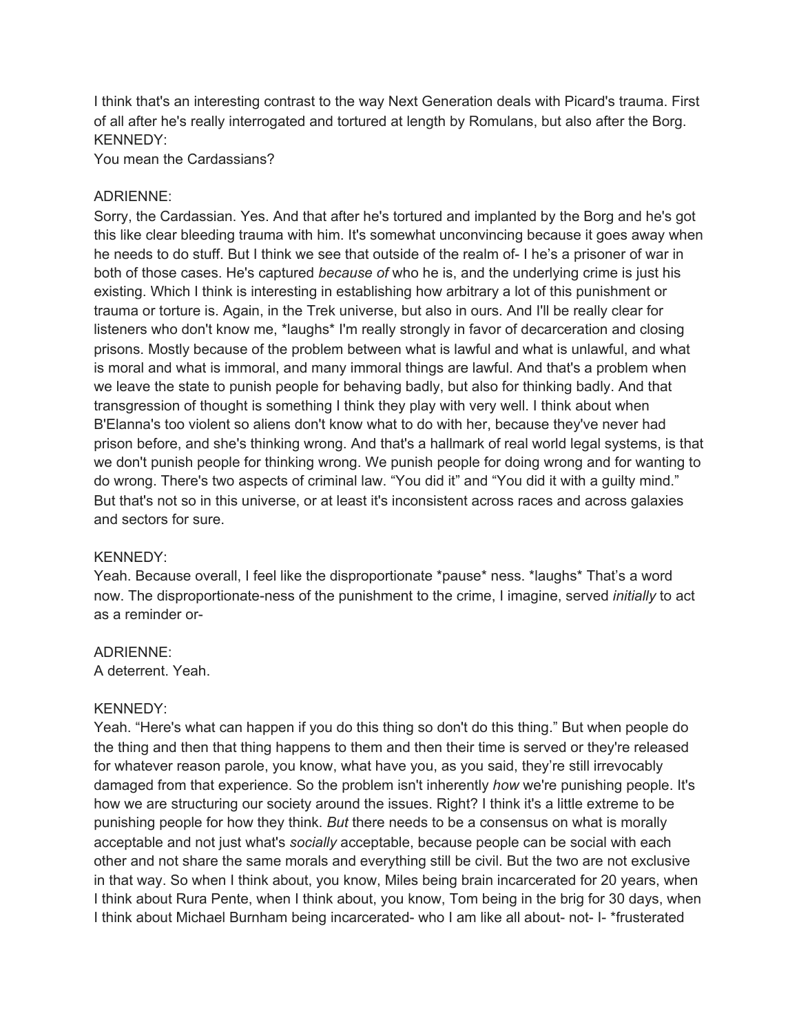I think that's an interesting contrast to the way Next Generation deals with Picard's trauma. First of all after he's really interrogated and tortured at length by Romulans, but also after the Borg. KENNEDY:

You mean the Cardassians?

#### ADRIENNE:

Sorry, the Cardassian. Yes. And that after he's tortured and implanted by the Borg and he's got this like clear bleeding trauma with him. It's somewhat unconvincing because it goes away when he needs to do stuff. But I think we see that outside of the realm of- I he's a prisoner of war in both of those cases. He's captured *because of* who he is, and the underlying crime is just his existing. Which I think is interesting in establishing how arbitrary a lot of this punishment or trauma or torture is. Again, in the Trek universe, but also in ours. And I'll be really clear for listeners who don't know me, \*laughs\* I'm really strongly in favor of decarceration and closing prisons. Mostly because of the problem between what is lawful and what is unlawful, and what is moral and what is immoral, and many immoral things are lawful. And that's a problem when we leave the state to punish people for behaving badly, but also for thinking badly. And that transgression of thought is something I think they play with very well. I think about when B'Elanna's too violent so aliens don't know what to do with her, because they've never had prison before, and she's thinking wrong. And that's a hallmark of real world legal systems, is that we don't punish people for thinking wrong. We punish people for doing wrong and for wanting to do wrong. There's two aspects of criminal law. "You did it" and "You did it with a guilty mind." But that's not so in this universe, or at least it's inconsistent across races and across galaxies and sectors for sure.

#### KENNEDY:

Yeah. Because overall, I feel like the disproportionate \*pause\* ness. \*laughs\* That's a word now. The disproportionate-ness of the punishment to the crime, I imagine, served *initially* to act as a reminder or-

#### ADRIENNE:

A deterrent. Yeah.

#### KENNEDY:

Yeah. "Here's what can happen if you do this thing so don't do this thing." But when people do the thing and then that thing happens to them and then their time is served or they're released for whatever reason parole, you know, what have you, as you said, they're still irrevocably damaged from that experience. So the problem isn't inherently *how* we're punishing people. It's how we are structuring our society around the issues. Right? I think it's a little extreme to be punishing people for how they think. *But* there needs to be a consensus on what is morally acceptable and not just what's *socially* acceptable, because people can be social with each other and not share the same morals and everything still be civil. But the two are not exclusive in that way. So when I think about, you know, Miles being brain incarcerated for 20 years, when I think about Rura Pente, when I think about, you know, Tom being in the brig for 30 days, when I think about Michael Burnham being incarcerated- who I am like all about- not- I- \*frusterated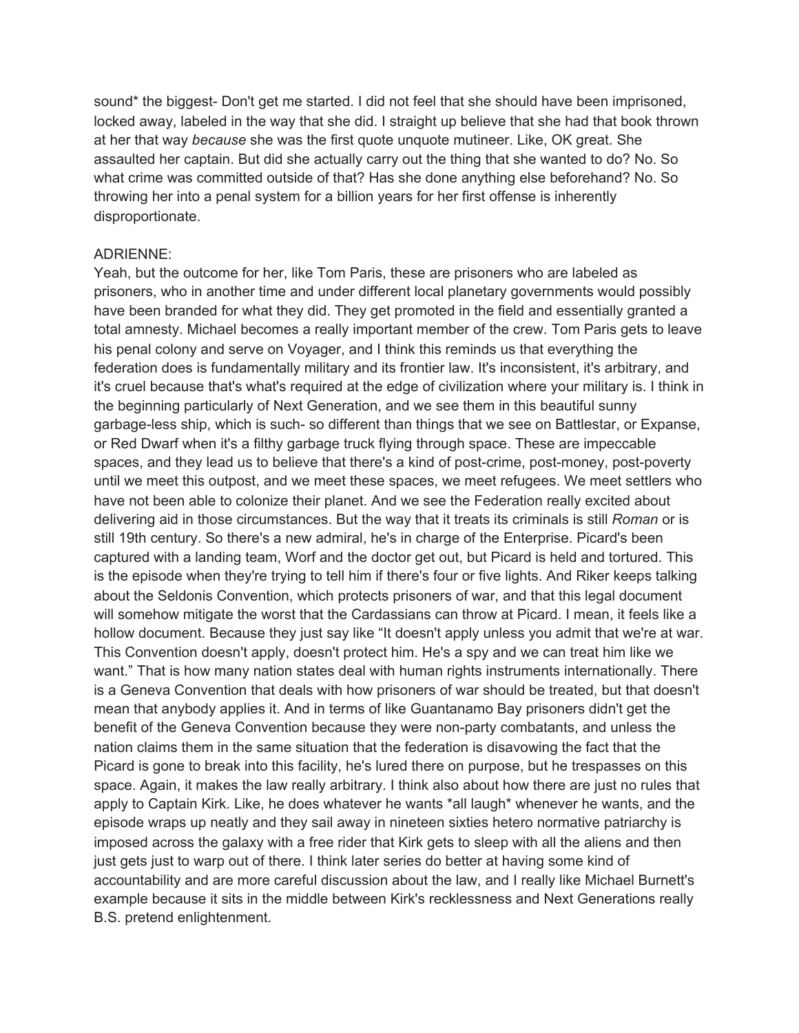sound\* the biggest- Don't get me started. I did not feel that she should have been imprisoned, locked away, labeled in the way that she did. I straight up believe that she had that book thrown at her that way *because* she was the first quote unquote mutineer. Like, OK great. She assaulted her captain. But did she actually carry out the thing that she wanted to do? No. So what crime was committed outside of that? Has she done anything else beforehand? No. So throwing her into a penal system for a billion years for her first offense is inherently disproportionate.

#### ADRIENNE:

Yeah, but the outcome for her, like Tom Paris, these are prisoners who are labeled as prisoners, who in another time and under different local planetary governments would possibly have been branded for what they did. They get promoted in the field and essentially granted a total amnesty. Michael becomes a really important member of the crew. Tom Paris gets to leave his penal colony and serve on Voyager, and I think this reminds us that everything the federation does is fundamentally military and its frontier law. It's inconsistent, it's arbitrary, and it's cruel because that's what's required at the edge of civilization where your military is. I think in the beginning particularly of Next Generation, and we see them in this beautiful sunny garbage-less ship, which is such- so different than things that we see on Battlestar, or Expanse, or Red Dwarf when it's a filthy garbage truck flying through space. These are impeccable spaces, and they lead us to believe that there's a kind of post-crime, post-money, post-poverty until we meet this outpost, and we meet these spaces, we meet refugees. We meet settlers who have not been able to colonize their planet. And we see the Federation really excited about delivering aid in those circumstances. But the way that it treats its criminals is still *Roman* or is still 19th century. So there's a new admiral, he's in charge of the Enterprise. Picard's been captured with a landing team, Worf and the doctor get out, but Picard is held and tortured. This is the episode when they're trying to tell him if there's four or five lights. And Riker keeps talking about the Seldonis Convention, which protects prisoners of war, and that this legal document will somehow mitigate the worst that the Cardassians can throw at Picard. I mean, it feels like a hollow document. Because they just say like "It doesn't apply unless you admit that we're at war. This Convention doesn't apply, doesn't protect him. He's a spy and we can treat him like we want." That is how many nation states deal with human rights instruments internationally. There is a Geneva Convention that deals with how prisoners of war should be treated, but that doesn't mean that anybody applies it. And in terms of like Guantanamo Bay prisoners didn't get the benefit of the Geneva Convention because they were non-party combatants, and unless the nation claims them in the same situation that the federation is disavowing the fact that the Picard is gone to break into this facility, he's lured there on purpose, but he trespasses on this space. Again, it makes the law really arbitrary. I think also about how there are just no rules that apply to Captain Kirk. Like, he does whatever he wants \*all laugh\* whenever he wants, and the episode wraps up neatly and they sail away in nineteen sixties hetero normative patriarchy is imposed across the galaxy with a free rider that Kirk gets to sleep with all the aliens and then just gets just to warp out of there. I think later series do better at having some kind of accountability and are more careful discussion about the law, and I really like Michael Burnett's example because it sits in the middle between Kirk's recklessness and Next Generations really B.S. pretend enlightenment.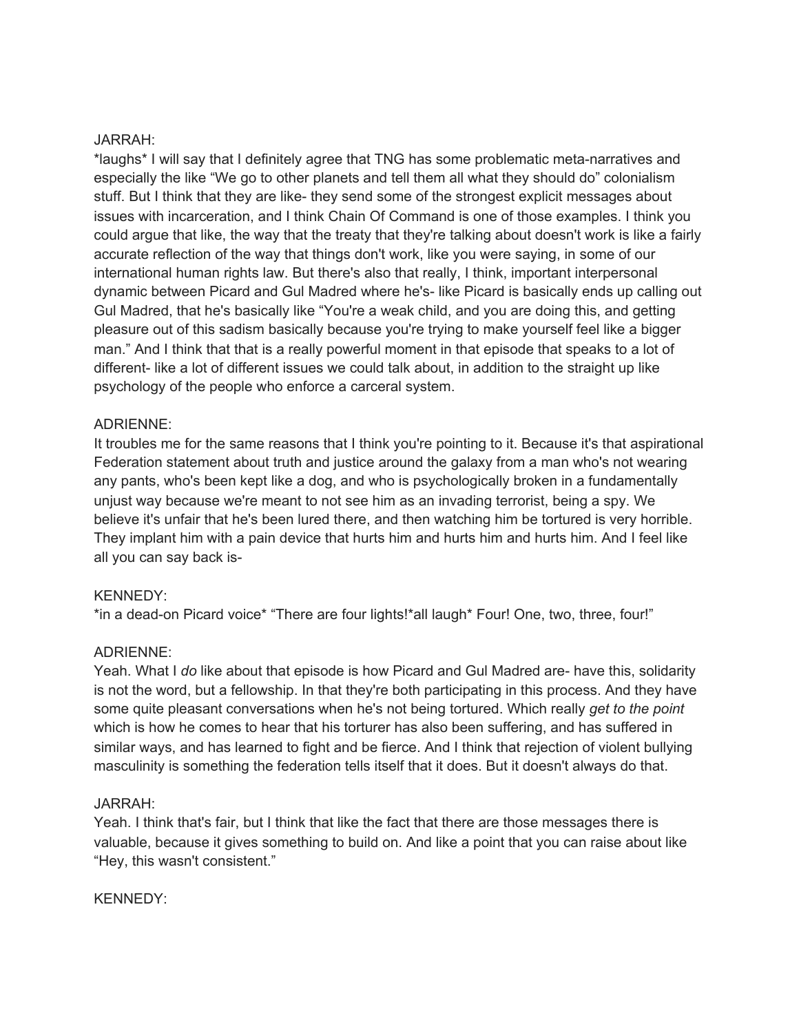#### JARRAH:

\*laughs\* I will say that I definitely agree that TNG has some problematic meta-narratives and especially the like "We go to other planets and tell them all what they should do" colonialism stuff. But I think that they are like- they send some of the strongest explicit messages about issues with incarceration, and I think Chain Of Command is one of those examples. I think you could argue that like, the way that the treaty that they're talking about doesn't work is like a fairly accurate reflection of the way that things don't work, like you were saying, in some of our international human rights law. But there's also that really, I think, important interpersonal dynamic between Picard and Gul Madred where he's- like Picard is basically ends up calling out Gul Madred, that he's basically like "You're a weak child, and you are doing this, and getting pleasure out of this sadism basically because you're trying to make yourself feel like a bigger man." And I think that that is a really powerful moment in that episode that speaks to a lot of different- like a lot of different issues we could talk about, in addition to the straight up like psychology of the people who enforce a carceral system.

#### ADRIENNE:

It troubles me for the same reasons that I think you're pointing to it. Because it's that aspirational Federation statement about truth and justice around the galaxy from a man who's not wearing any pants, who's been kept like a dog, and who is psychologically broken in a fundamentally unjust way because we're meant to not see him as an invading terrorist, being a spy. We believe it's unfair that he's been lured there, and then watching him be tortured is very horrible. They implant him with a pain device that hurts him and hurts him and hurts him. And I feel like all you can say back is-

#### KENNEDY:

\*in a dead-on Picard voice\* "There are four lights!\*all laugh\* Four! One, two, three, four!"

#### ADRIENNE:

Yeah. What I *do* like about that episode is how Picard and Gul Madred are- have this, solidarity is not the word, but a fellowship. In that they're both participating in this process. And they have some quite pleasant conversations when he's not being tortured. Which really *get to the point* which is how he comes to hear that his torturer has also been suffering, and has suffered in similar ways, and has learned to fight and be fierce. And I think that rejection of violent bullying masculinity is something the federation tells itself that it does. But it doesn't always do that.

#### JARRAH:

Yeah. I think that's fair, but I think that like the fact that there are those messages there is valuable, because it gives something to build on. And like a point that you can raise about like "Hey, this wasn't consistent."

#### KENNEDY: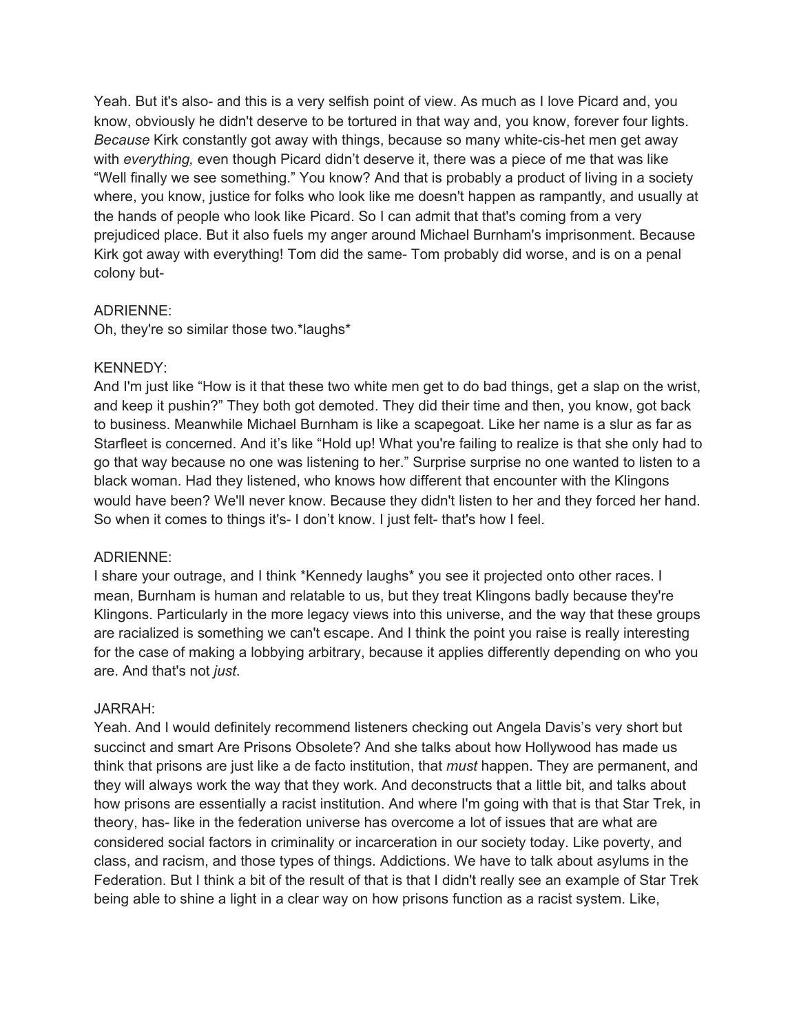Yeah. But it's also- and this is a very selfish point of view. As much as I love Picard and, you know, obviously he didn't deserve to be tortured in that way and, you know, forever four lights. *Because* Kirk constantly got away with things, because so many white-cis-het men get away with *everything,* even though Picard didn't deserve it, there was a piece of me that was like "Well finally we see something." You know? And that is probably a product of living in a society where, you know, justice for folks who look like me doesn't happen as rampantly, and usually at the hands of people who look like Picard. So I can admit that that's coming from a very prejudiced place. But it also fuels my anger around Michael Burnham's imprisonment. Because Kirk got away with everything! Tom did the same- Tom probably did worse, and is on a penal colony but-

#### ADRIENNE:

Oh, they're so similar those two.\*laughs\*

#### KENNEDY:

And I'm just like "How is it that these two white men get to do bad things, get a slap on the wrist, and keep it pushin?" They both got demoted. They did their time and then, you know, got back to business. Meanwhile Michael Burnham is like a scapegoat. Like her name is a slur as far as Starfleet is concerned. And it's like "Hold up! What you're failing to realize is that she only had to go that way because no one was listening to her." Surprise surprise no one wanted to listen to a black woman. Had they listened, who knows how different that encounter with the Klingons would have been? We'll never know. Because they didn't listen to her and they forced her hand. So when it comes to things it's- I don't know. I just felt- that's how I feel.

#### ADRIENNE:

I share your outrage, and I think \*Kennedy laughs\* you see it projected onto other races. I mean, Burnham is human and relatable to us, but they treat Klingons badly because they're Klingons. Particularly in the more legacy views into this universe, and the way that these groups are racialized is something we can't escape. And I think the point you raise is really interesting for the case of making a lobbying arbitrary, because it applies differently depending on who you are. And that's not *just*.

#### JARRAH:

Yeah. And I would definitely recommend listeners checking out Angela Davis's very short but succinct and smart Are Prisons Obsolete? And she talks about how Hollywood has made us think that prisons are just like a de facto institution, that *must* happen. They are permanent, and they will always work the way that they work. And deconstructs that a little bit, and talks about how prisons are essentially a racist institution. And where I'm going with that is that Star Trek, in theory, has- like in the federation universe has overcome a lot of issues that are what are considered social factors in criminality or incarceration in our society today. Like poverty, and class, and racism, and those types of things. Addictions. We have to talk about asylums in the Federation. But I think a bit of the result of that is that I didn't really see an example of Star Trek being able to shine a light in a clear way on how prisons function as a racist system. Like,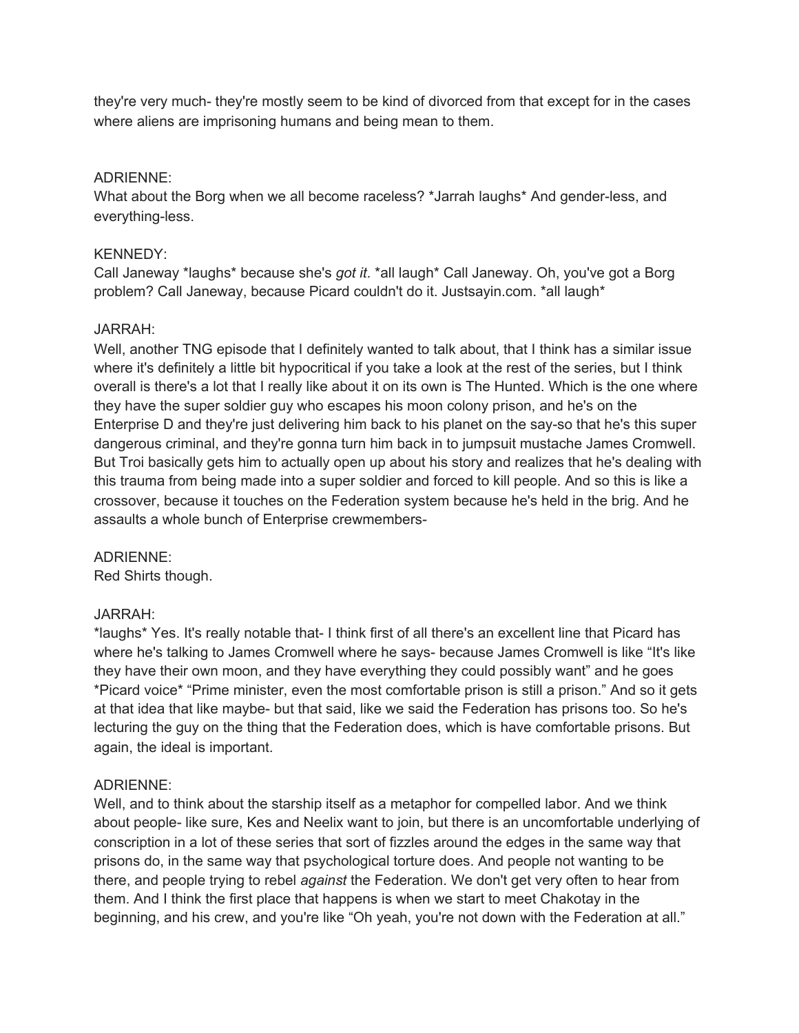they're very much- they're mostly seem to be kind of divorced from that except for in the cases where aliens are imprisoning humans and being mean to them.

## ADRIENNE:

What about the Borg when we all become raceless? \*Jarrah laughs\* And gender-less, and everything-less.

## KENNEDY:

Call Janeway \*laughs\* because she's *got it*. \*all laugh\* Call Janeway. Oh, you've got a Borg problem? Call Janeway, because Picard couldn't do it. Justsayin.com. \*all laugh\*

## JARRAH:

Well, another TNG episode that I definitely wanted to talk about, that I think has a similar issue where it's definitely a little bit hypocritical if you take a look at the rest of the series, but I think overall is there's a lot that I really like about it on its own is The Hunted. Which is the one where they have the super soldier guy who escapes his moon colony prison, and he's on the Enterprise D and they're just delivering him back to his planet on the say-so that he's this super dangerous criminal, and they're gonna turn him back in to jumpsuit mustache James Cromwell. But Troi basically gets him to actually open up about his story and realizes that he's dealing with this trauma from being made into a super soldier and forced to kill people. And so this is like a crossover, because it touches on the Federation system because he's held in the brig. And he assaults a whole bunch of Enterprise crewmembers-

## ADRIENNE:

Red Shirts though.

#### JARRAH:

\*laughs\* Yes. It's really notable that- I think first of all there's an excellent line that Picard has where he's talking to James Cromwell where he says- because James Cromwell is like "It's like they have their own moon, and they have everything they could possibly want" and he goes \*Picard voice\* "Prime minister, even the most comfortable prison is still a prison." And so it gets at that idea that like maybe- but that said, like we said the Federation has prisons too. So he's lecturing the guy on the thing that the Federation does, which is have comfortable prisons. But again, the ideal is important.

#### ADRIENNE:

Well, and to think about the starship itself as a metaphor for compelled labor. And we think about people- like sure, Kes and Neelix want to join, but there is an uncomfortable underlying of conscription in a lot of these series that sort of fizzles around the edges in the same way that prisons do, in the same way that psychological torture does. And people not wanting to be there, and people trying to rebel *against* the Federation. We don't get very often to hear from them. And I think the first place that happens is when we start to meet Chakotay in the beginning, and his crew, and you're like "Oh yeah, you're not down with the Federation at all."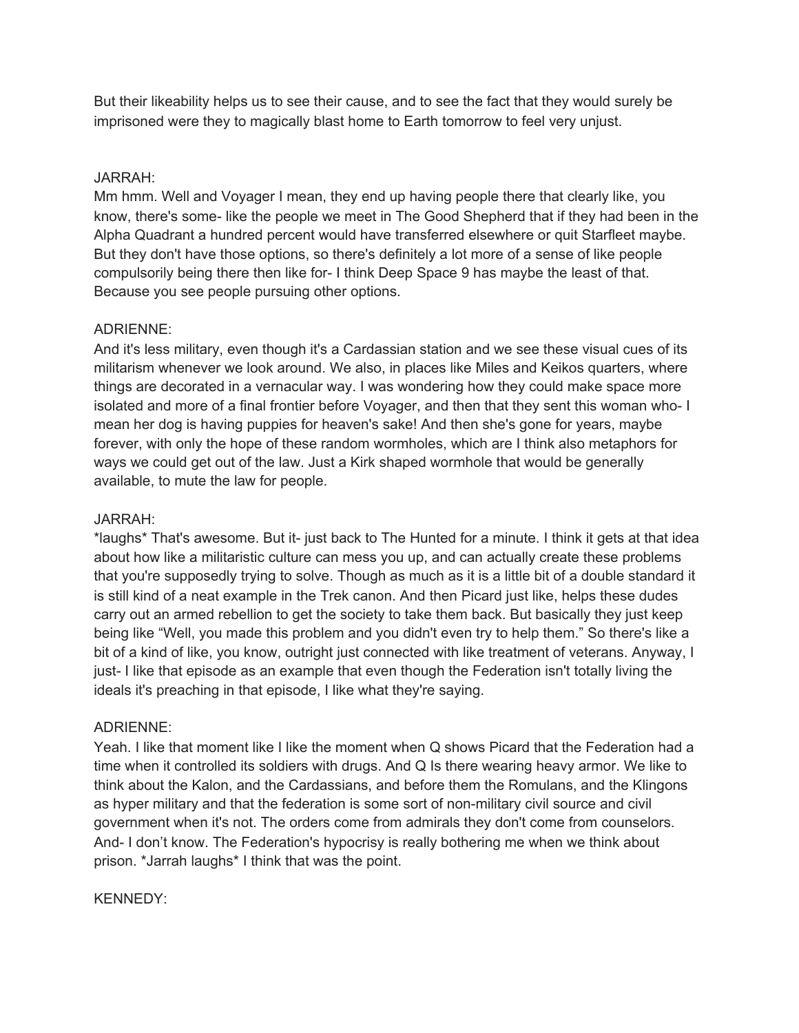But their likeability helps us to see their cause, and to see the fact that they would surely be imprisoned were they to magically blast home to Earth tomorrow to feel very unjust.

## JARRAH:

Mm hmm. Well and Voyager I mean, they end up having people there that clearly like, you know, there's some- like the people we meet in The Good Shepherd that if they had been in the Alpha Quadrant a hundred percent would have transferred elsewhere or quit Starfleet maybe. But they don't have those options, so there's definitely a lot more of a sense of like people compulsorily being there then like for- I think Deep Space 9 has maybe the least of that. Because you see people pursuing other options.

## ADRIENNE:

And it's less military, even though it's a Cardassian station and we see these visual cues of its militarism whenever we look around. We also, in places like Miles and Keikos quarters, where things are decorated in a vernacular way. I was wondering how they could make space more isolated and more of a final frontier before Voyager, and then that they sent this woman who- I mean her dog is having puppies for heaven's sake! And then she's gone for years, maybe forever, with only the hope of these random wormholes, which are I think also metaphors for ways we could get out of the law. Just a Kirk shaped wormhole that would be generally available, to mute the law for people.

## JARRAH:

\*laughs\* That's awesome. But it- just back to The Hunted for a minute. I think it gets at that idea about how like a militaristic culture can mess you up, and can actually create these problems that you're supposedly trying to solve. Though as much as it is a little bit of a double standard it is still kind of a neat example in the Trek canon. And then Picard just like, helps these dudes carry out an armed rebellion to get the society to take them back. But basically they just keep being like "Well, you made this problem and you didn't even try to help them." So there's like a bit of a kind of like, you know, outright just connected with like treatment of veterans. Anyway, I just- I like that episode as an example that even though the Federation isn't totally living the ideals it's preaching in that episode, I like what they're saying.

#### ADRIENNE:

Yeah. I like that moment like I like the moment when Q shows Picard that the Federation had a time when it controlled its soldiers with drugs. And Q Is there wearing heavy armor. We like to think about the Kalon, and the Cardassians, and before them the Romulans, and the Klingons as hyper military and that the federation is some sort of non-military civil source and civil government when it's not. The orders come from admirals they don't come from counselors. And- I don't know. The Federation's hypocrisy is really bothering me when we think about prison. \*Jarrah laughs\* I think that was the point.

#### KENNEDY: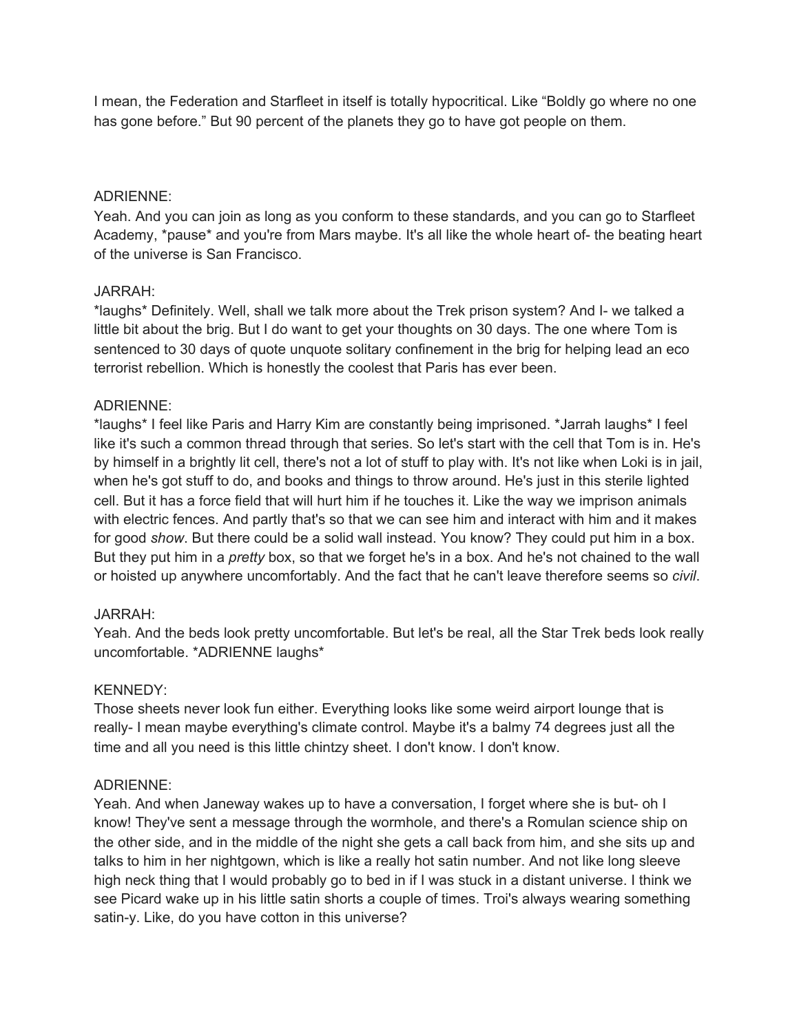I mean, the Federation and Starfleet in itself is totally hypocritical. Like "Boldly go where no one has gone before." But 90 percent of the planets they go to have got people on them.

## ADRIENNE:

Yeah. And you can join as long as you conform to these standards, and you can go to Starfleet Academy, \*pause\* and you're from Mars maybe. It's all like the whole heart of- the beating heart of the universe is San Francisco.

## JARRAH:

\*laughs\* Definitely. Well, shall we talk more about the Trek prison system? And I- we talked a little bit about the brig. But I do want to get your thoughts on 30 days. The one where Tom is sentenced to 30 days of quote unquote solitary confinement in the brig for helping lead an eco terrorist rebellion. Which is honestly the coolest that Paris has ever been.

## ADRIENNE:

\*laughs\* I feel like Paris and Harry Kim are constantly being imprisoned. \*Jarrah laughs\* I feel like it's such a common thread through that series. So let's start with the cell that Tom is in. He's by himself in a brightly lit cell, there's not a lot of stuff to play with. It's not like when Loki is in jail, when he's got stuff to do, and books and things to throw around. He's just in this sterile lighted cell. But it has a force field that will hurt him if he touches it. Like the way we imprison animals with electric fences. And partly that's so that we can see him and interact with him and it makes for good *show*. But there could be a solid wall instead. You know? They could put him in a box. But they put him in a *pretty* box, so that we forget he's in a box. And he's not chained to the wall or hoisted up anywhere uncomfortably. And the fact that he can't leave therefore seems so *civil*.

## JARRAH:

Yeah. And the beds look pretty uncomfortable. But let's be real, all the Star Trek beds look really uncomfortable. \*ADRIENNE laughs\*

#### KENNEDY:

Those sheets never look fun either. Everything looks like some weird airport lounge that is really- I mean maybe everything's climate control. Maybe it's a balmy 74 degrees just all the time and all you need is this little chintzy sheet. I don't know. I don't know.

## ADRIENNE:

Yeah. And when Janeway wakes up to have a conversation, I forget where she is but- oh I know! They've sent a message through the wormhole, and there's a Romulan science ship on the other side, and in the middle of the night she gets a call back from him, and she sits up and talks to him in her nightgown, which is like a really hot satin number. And not like long sleeve high neck thing that I would probably go to bed in if I was stuck in a distant universe. I think we see Picard wake up in his little satin shorts a couple of times. Troi's always wearing something satin-y. Like, do you have cotton in this universe?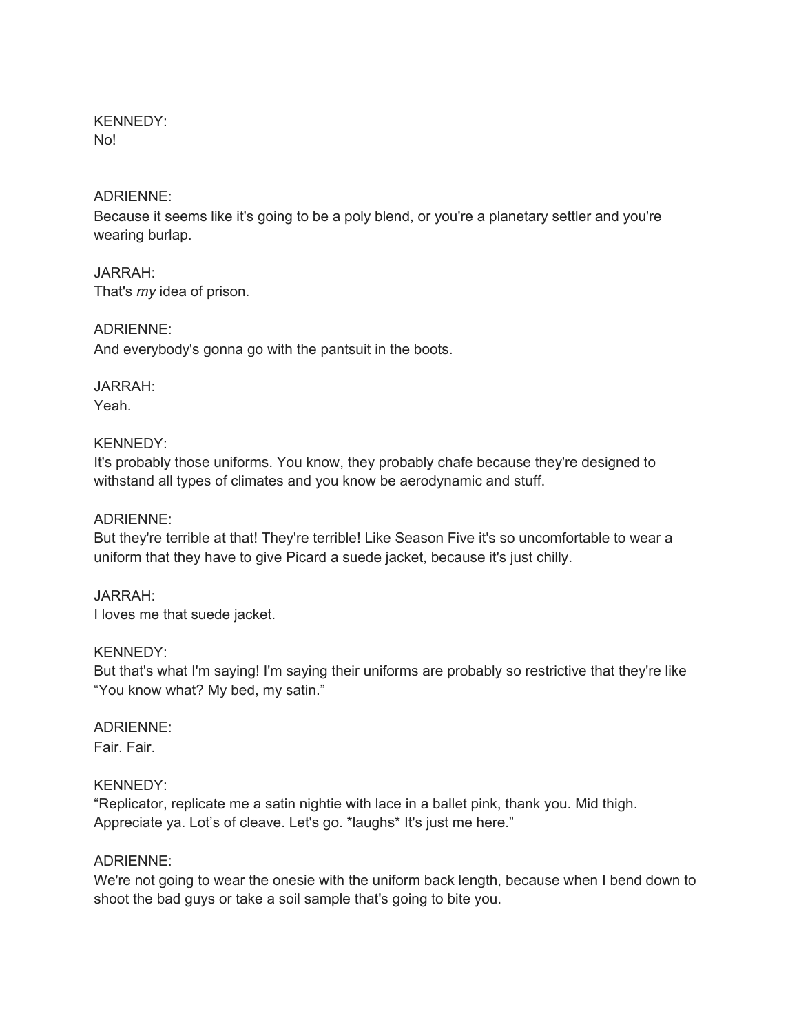#### KENNEDY: No!

#### ADRIENNE:

Because it seems like it's going to be a poly blend, or you're a planetary settler and you're wearing burlap.

JARRAH: That's *my* idea of prison.

ADRIENNE: And everybody's gonna go with the pantsuit in the boots.

# JARRAH:

Yeah.

## KENNEDY:

It's probably those uniforms. You know, they probably chafe because they're designed to withstand all types of climates and you know be aerodynamic and stuff.

## ADRIENNE:

But they're terrible at that! They're terrible! Like Season Five it's so uncomfortable to wear a uniform that they have to give Picard a suede jacket, because it's just chilly.

## JARRAH:

I loves me that suede jacket.

#### KENNEDY:

But that's what I'm saying! I'm saying their uniforms are probably so restrictive that they're like "You know what? My bed, my satin."

## ADRIENNE:

Fair. Fair.

## KENNEDY:

"Replicator, replicate me a satin nightie with lace in a ballet pink, thank you. Mid thigh. Appreciate ya. Lot's of cleave. Let's go. \*laughs\* It's just me here."

#### ADRIENNE:

We're not going to wear the onesie with the uniform back length, because when I bend down to shoot the bad guys or take a soil sample that's going to bite you.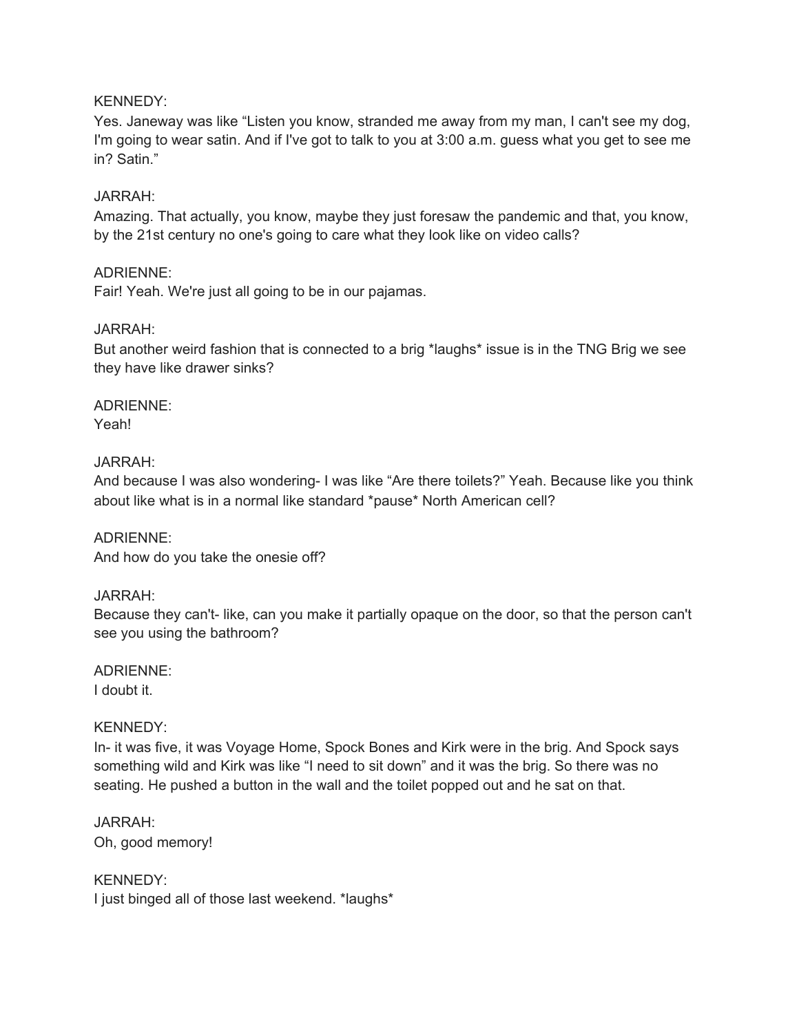#### KENNEDY:

Yes. Janeway was like "Listen you know, stranded me away from my man, I can't see my dog, I'm going to wear satin. And if I've got to talk to you at 3:00 a.m. guess what you get to see me in? Satin."

#### JARRAH:

Amazing. That actually, you know, maybe they just foresaw the pandemic and that, you know, by the 21st century no one's going to care what they look like on video calls?

#### ADRIENNE:

Fair! Yeah. We're just all going to be in our pajamas.

#### JARRAH:

But another weird fashion that is connected to a brig \*laughs\* issue is in the TNG Brig we see they have like drawer sinks?

# ADRIENNE:

Yeah!

#### JARRAH:

And because I was also wondering- I was like "Are there toilets?" Yeah. Because like you think about like what is in a normal like standard \*pause\* North American cell?

## ADRIENNE:

And how do you take the onesie off?

#### JARRAH:

Because they can't- like, can you make it partially opaque on the door, so that the person can't see you using the bathroom?

## ADRIENNE:

I doubt it.

#### KENNEDY:

In- it was five, it was Voyage Home, Spock Bones and Kirk were in the brig. And Spock says something wild and Kirk was like "I need to sit down" and it was the brig. So there was no seating. He pushed a button in the wall and the toilet popped out and he sat on that.

JARRAH: Oh, good memory!

KENNEDY: I just binged all of those last weekend. \*laughs\*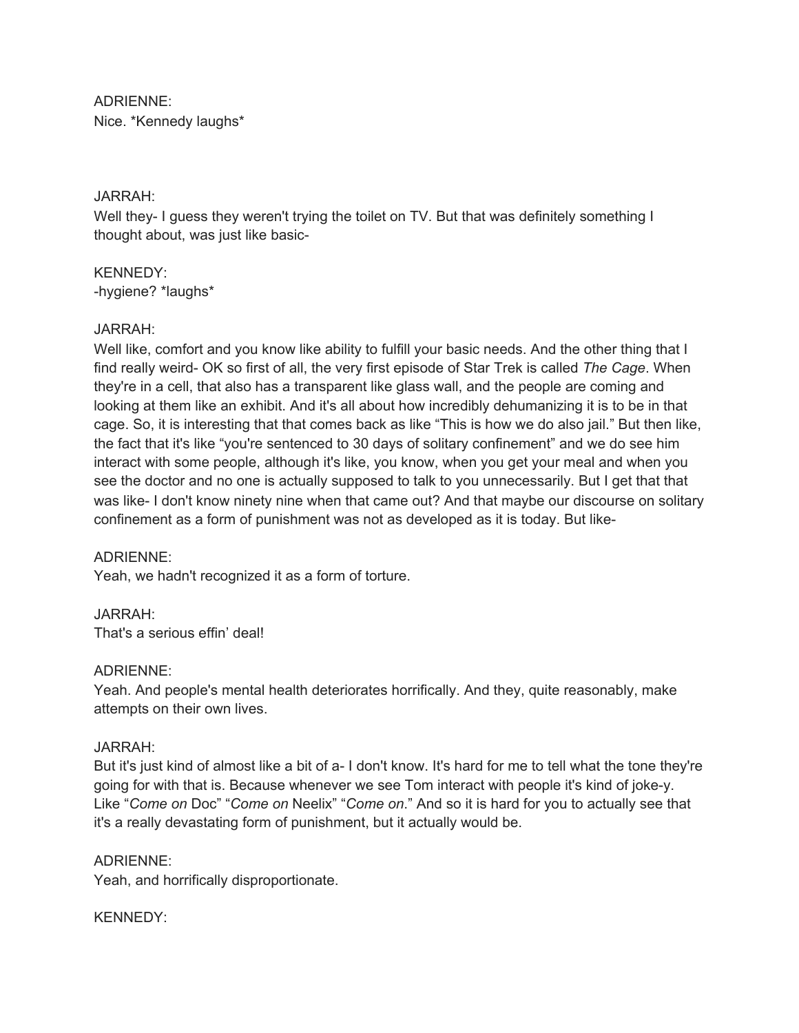ADRIENNE: Nice. \*Kennedy laughs\*

#### JARRAH:

Well they- I guess they weren't trying the toilet on TV. But that was definitely something I thought about, was just like basic-

KENNEDY: -hygiene? \*laughs\*

#### JARRAH:

Well like, comfort and you know like ability to fulfill your basic needs. And the other thing that I find really weird- OK so first of all, the very first episode of Star Trek is called *The Cage*. When they're in a cell, that also has a transparent like glass wall, and the people are coming and looking at them like an exhibit. And it's all about how incredibly dehumanizing it is to be in that cage. So, it is interesting that that comes back as like "This is how we do also jail." But then like, the fact that it's like "you're sentenced to 30 days of solitary confinement" and we do see him interact with some people, although it's like, you know, when you get your meal and when you see the doctor and no one is actually supposed to talk to you unnecessarily. But I get that that was like- I don't know ninety nine when that came out? And that maybe our discourse on solitary confinement as a form of punishment was not as developed as it is today. But like-

#### ADRIENNE:

Yeah, we hadn't recognized it as a form of torture.

JARRAH:

That's a serious effin' deal!

#### ADRIENNE:

Yeah. And people's mental health deteriorates horrifically. And they, quite reasonably, make attempts on their own lives.

#### JARRAH:

But it's just kind of almost like a bit of a- I don't know. It's hard for me to tell what the tone they're going for with that is. Because whenever we see Tom interact with people it's kind of joke-y. Like "*Come on* Doc" "*Come on* Neelix" "*Come on*." And so it is hard for you to actually see that it's a really devastating form of punishment, but it actually would be.

#### ADRIENNE:

Yeah, and horrifically disproportionate.

#### KENNEDY: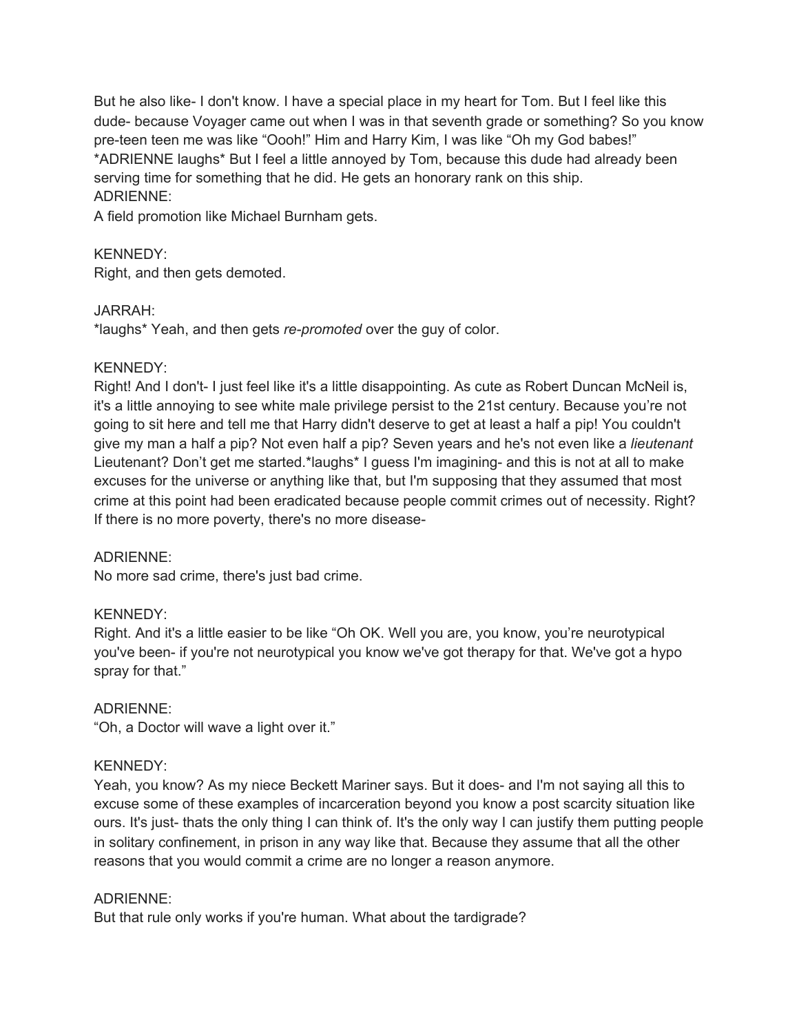But he also like- I don't know. I have a special place in my heart for Tom. But I feel like this dude- because Voyager came out when I was in that seventh grade or something? So you know pre-teen teen me was like "Oooh!" Him and Harry Kim, I was like "Oh my God babes!" \*ADRIENNE laughs\* But I feel a little annoyed by Tom, because this dude had already been serving time for something that he did. He gets an honorary rank on this ship. ADRIENNE:

A field promotion like Michael Burnham gets.

## KENNEDY:

Right, and then gets demoted.

#### JARRAH:

\*laughs\* Yeah, and then gets *re-promoted* over the guy of color.

## KENNEDY:

Right! And I don't- I just feel like it's a little disappointing. As cute as Robert Duncan McNeil is, it's a little annoying to see white male privilege persist to the 21st century. Because you're not going to sit here and tell me that Harry didn't deserve to get at least a half a pip! You couldn't give my man a half a pip? Not even half a pip? Seven years and he's not even like a *lieutenant* Lieutenant? Don't get me started.\*laughs\* I guess I'm imagining- and this is not at all to make excuses for the universe or anything like that, but I'm supposing that they assumed that most crime at this point had been eradicated because people commit crimes out of necessity. Right? If there is no more poverty, there's no more disease-

#### ADRIENNE:

No more sad crime, there's just bad crime.

## KENNEDY:

Right. And it's a little easier to be like "Oh OK. Well you are, you know, you're neurotypical you've been- if you're not neurotypical you know we've got therapy for that. We've got a hypo spray for that."

## ADRIENNE:

"Oh, a Doctor will wave a light over it."

#### KENNEDY:

Yeah, you know? As my niece Beckett Mariner says. But it does- and I'm not saying all this to excuse some of these examples of incarceration beyond you know a post scarcity situation like ours. It's just- thats the only thing I can think of. It's the only way I can justify them putting people in solitary confinement, in prison in any way like that. Because they assume that all the other reasons that you would commit a crime are no longer a reason anymore.

#### ADRIENNE:

But that rule only works if you're human. What about the tardigrade?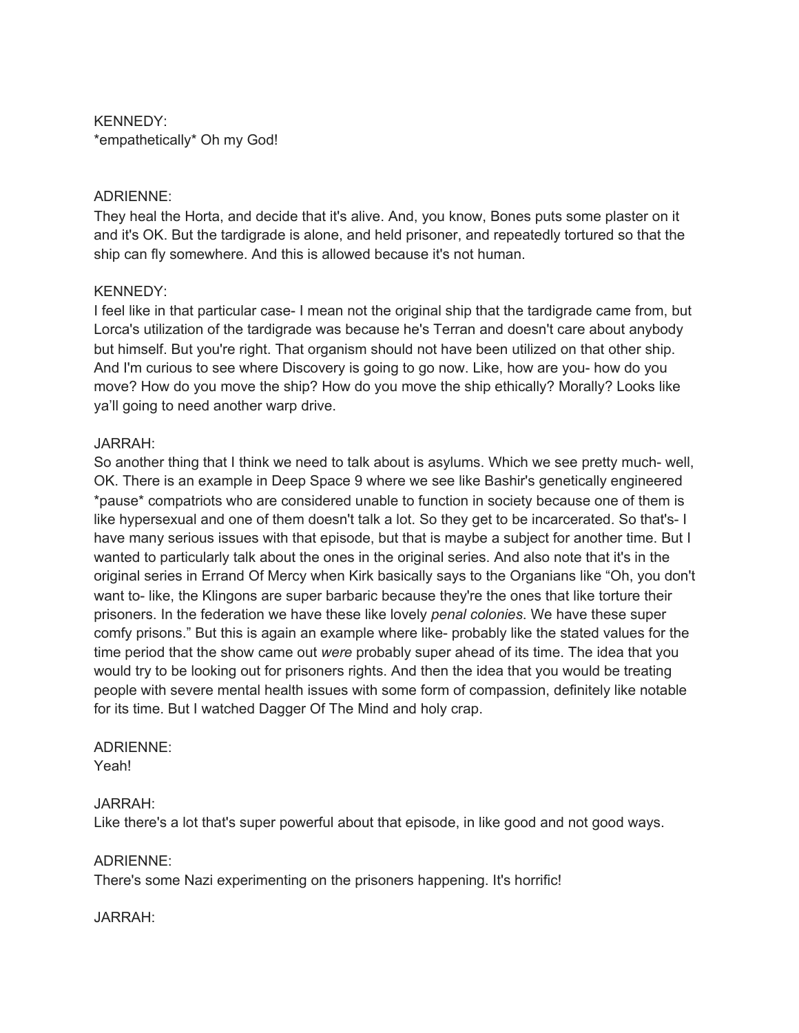KENNEDY: \*empathetically\* Oh my God!

#### ADRIENNE:

They heal the Horta, and decide that it's alive. And, you know, Bones puts some plaster on it and it's OK. But the tardigrade is alone, and held prisoner, and repeatedly tortured so that the ship can fly somewhere. And this is allowed because it's not human.

#### KENNEDY:

I feel like in that particular case- I mean not the original ship that the tardigrade came from, but Lorca's utilization of the tardigrade was because he's Terran and doesn't care about anybody but himself. But you're right. That organism should not have been utilized on that other ship. And I'm curious to see where Discovery is going to go now. Like, how are you- how do you move? How do you move the ship? How do you move the ship ethically? Morally? Looks like ya'll going to need another warp drive.

## JARRAH:

So another thing that I think we need to talk about is asylums. Which we see pretty much- well, OK. There is an example in Deep Space 9 where we see like Bashir's genetically engineered \*pause\* compatriots who are considered unable to function in society because one of them is like hypersexual and one of them doesn't talk a lot. So they get to be incarcerated. So that's- I have many serious issues with that episode, but that is maybe a subject for another time. But I wanted to particularly talk about the ones in the original series. And also note that it's in the original series in Errand Of Mercy when Kirk basically says to the Organians like "Oh, you don't want to- like, the Klingons are super barbaric because they're the ones that like torture their prisoners. In the federation we have these like lovely *penal colonies*. We have these super comfy prisons." But this is again an example where like- probably like the stated values for the time period that the show came out *were* probably super ahead of its time. The idea that you would try to be looking out for prisoners rights. And then the idea that you would be treating people with severe mental health issues with some form of compassion, definitely like notable for its time. But I watched Dagger Of The Mind and holy crap.

## ADRIENNE:

Yeah!

## JARRAH:

Like there's a lot that's super powerful about that episode, in like good and not good ways.

#### ADRIENNE:

There's some Nazi experimenting on the prisoners happening. It's horrific!

#### JARRAH: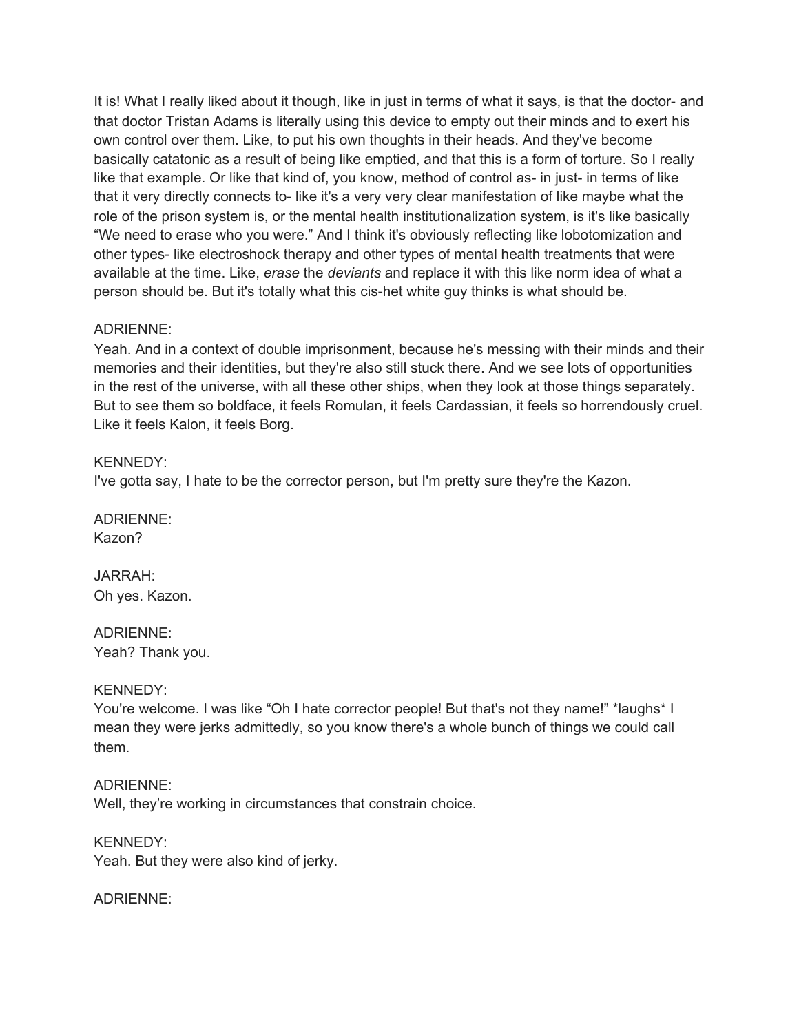It is! What I really liked about it though, like in just in terms of what it says, is that the doctor- and that doctor Tristan Adams is literally using this device to empty out their minds and to exert his own control over them. Like, to put his own thoughts in their heads. And they've become basically catatonic as a result of being like emptied, and that this is a form of torture. So I really like that example. Or like that kind of, you know, method of control as- in just- in terms of like that it very directly connects to- like it's a very very clear manifestation of like maybe what the role of the prison system is, or the mental health institutionalization system, is it's like basically "We need to erase who you were." And I think it's obviously reflecting like lobotomization and other types- like electroshock therapy and other types of mental health treatments that were available at the time. Like, *erase* the *deviants* and replace it with this like norm idea of what a person should be. But it's totally what this cis-het white guy thinks is what should be.

## ADRIENNE:

Yeah. And in a context of double imprisonment, because he's messing with their minds and their memories and their identities, but they're also still stuck there. And we see lots of opportunities in the rest of the universe, with all these other ships, when they look at those things separately. But to see them so boldface, it feels Romulan, it feels Cardassian, it feels so horrendously cruel. Like it feels Kalon, it feels Borg.

## KENNEDY:

I've gotta say, I hate to be the corrector person, but I'm pretty sure they're the Kazon.

ADRIENNE: Kazon?

JARRAH: Oh yes. Kazon.

ADRIENNE: Yeah? Thank you.

#### KENNEDY:

You're welcome. I was like "Oh I hate corrector people! But that's not they name!" \*laughs\* I mean they were jerks admittedly, so you know there's a whole bunch of things we could call them.

ADRIENNE:

Well, they're working in circumstances that constrain choice.

KENNEDY: Yeah. But they were also kind of jerky.

ADRIENNE: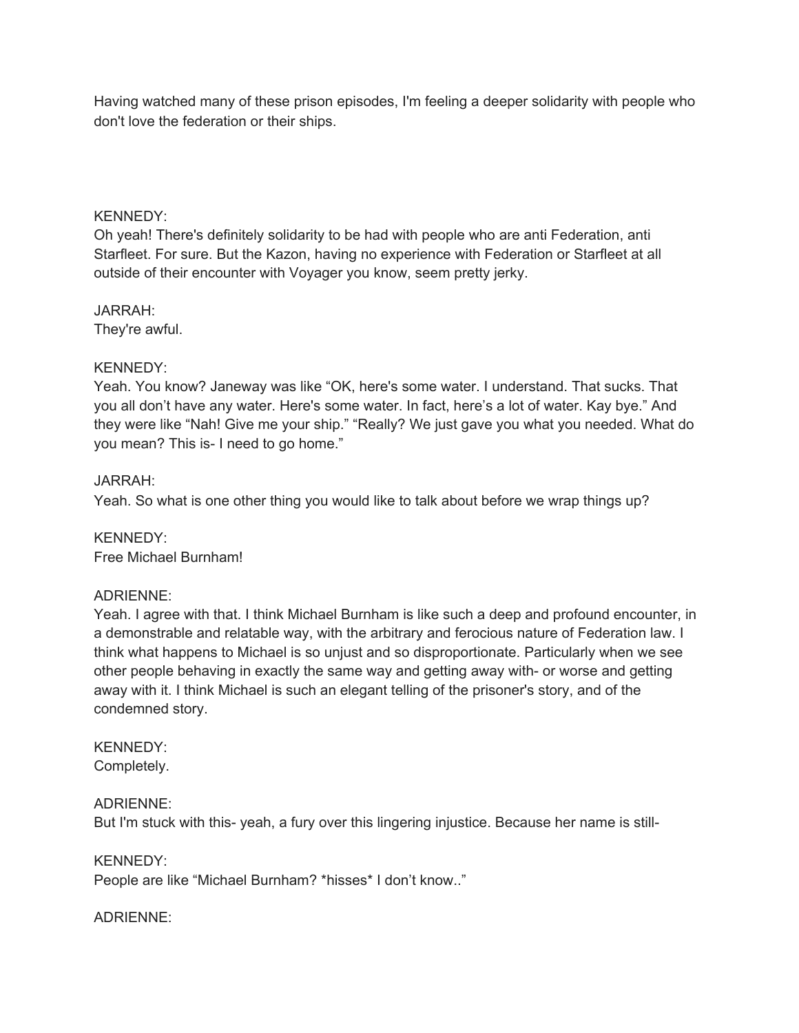Having watched many of these prison episodes, I'm feeling a deeper solidarity with people who don't love the federation or their ships.

#### KENNEDY:

Oh yeah! There's definitely solidarity to be had with people who are anti Federation, anti Starfleet. For sure. But the Kazon, having no experience with Federation or Starfleet at all outside of their encounter with Voyager you know, seem pretty jerky.

JARRAH: They're awful.

## KENNEDY:

Yeah. You know? Janeway was like "OK, here's some water. I understand. That sucks. That you all don't have any water. Here's some water. In fact, here's a lot of water. Kay bye." And they were like "Nah! Give me your ship." "Really? We just gave you what you needed. What do you mean? This is- I need to go home."

## JARRAH:

Yeah. So what is one other thing you would like to talk about before we wrap things up?

KENNEDY: Free Michael Burnham!

## ADRIENNE:

Yeah. I agree with that. I think Michael Burnham is like such a deep and profound encounter, in a demonstrable and relatable way, with the arbitrary and ferocious nature of Federation law. I think what happens to Michael is so unjust and so disproportionate. Particularly when we see other people behaving in exactly the same way and getting away with- or worse and getting away with it. I think Michael is such an elegant telling of the prisoner's story, and of the condemned story.

#### KENNEDY: Completely.

#### ADRIENNE:

But I'm stuck with this- yeah, a fury over this lingering injustice. Because her name is still-

#### KENNEDY:

People are like "Michael Burnham? \*hisses\* I don't know.."

## ADRIENNE: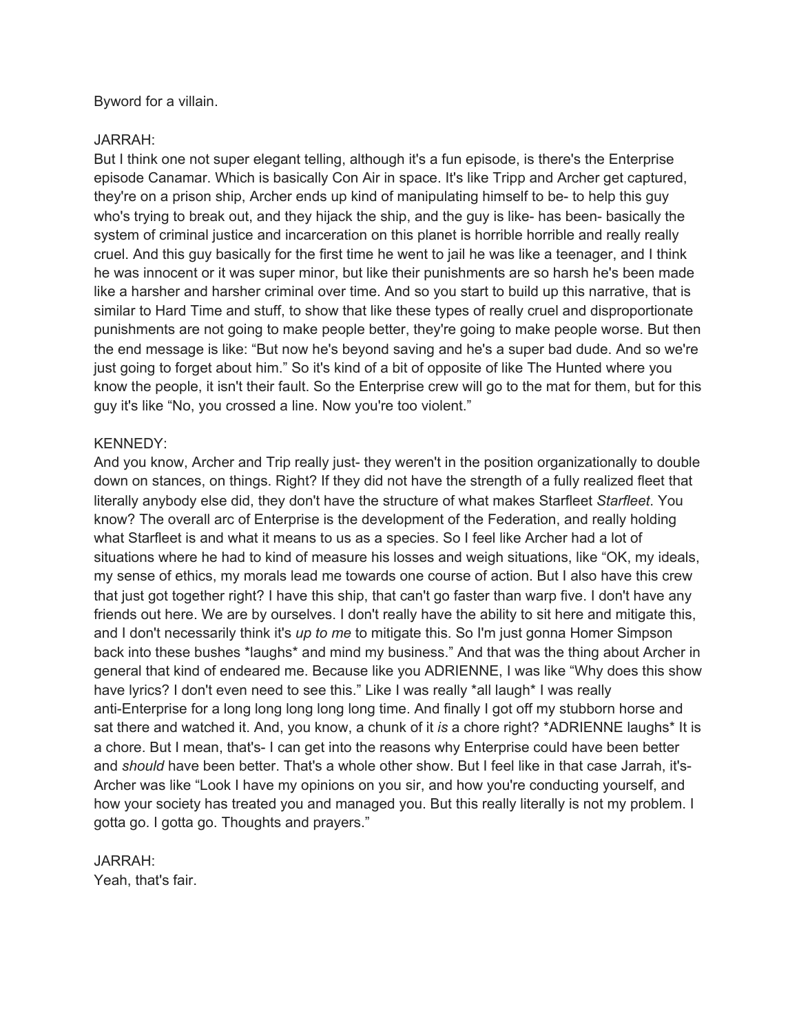Byword for a villain.

## JARRAH:

But I think one not super elegant telling, although it's a fun episode, is there's the Enterprise episode Canamar. Which is basically Con Air in space. It's like Tripp and Archer get captured, they're on a prison ship, Archer ends up kind of manipulating himself to be- to help this guy who's trying to break out, and they hijack the ship, and the guy is like- has been- basically the system of criminal justice and incarceration on this planet is horrible horrible and really really cruel. And this guy basically for the first time he went to jail he was like a teenager, and I think he was innocent or it was super minor, but like their punishments are so harsh he's been made like a harsher and harsher criminal over time. And so you start to build up this narrative, that is similar to Hard Time and stuff, to show that like these types of really cruel and disproportionate punishments are not going to make people better, they're going to make people worse. But then the end message is like: "But now he's beyond saving and he's a super bad dude. And so we're just going to forget about him." So it's kind of a bit of opposite of like The Hunted where you know the people, it isn't their fault. So the Enterprise crew will go to the mat for them, but for this guy it's like "No, you crossed a line. Now you're too violent."

## KENNEDY:

And you know, Archer and Trip really just- they weren't in the position organizationally to double down on stances, on things. Right? If they did not have the strength of a fully realized fleet that literally anybody else did, they don't have the structure of what makes Starfleet *Starfleet*. You know? The overall arc of Enterprise is the development of the Federation, and really holding what Starfleet is and what it means to us as a species. So I feel like Archer had a lot of situations where he had to kind of measure his losses and weigh situations, like "OK, my ideals, my sense of ethics, my morals lead me towards one course of action. But I also have this crew that just got together right? I have this ship, that can't go faster than warp five. I don't have any friends out here. We are by ourselves. I don't really have the ability to sit here and mitigate this, and I don't necessarily think it's *up to me* to mitigate this. So I'm just gonna Homer Simpson back into these bushes \*laughs\* and mind my business." And that was the thing about Archer in general that kind of endeared me. Because like you ADRIENNE, I was like "Why does this show have lyrics? I don't even need to see this." Like I was really \*all laugh\* I was really anti-Enterprise for a long long long long long time. And finally I got off my stubborn horse and sat there and watched it. And, you know, a chunk of it *is* a chore right? \*ADRIENNE laughs\* It is a chore. But I mean, that's- I can get into the reasons why Enterprise could have been better and *should* have been better. That's a whole other show. But I feel like in that case Jarrah, it's-Archer was like "Look I have my opinions on you sir, and how you're conducting yourself, and how your society has treated you and managed you. But this really literally is not my problem. I gotta go. I gotta go. Thoughts and prayers."

JARRAH: Yeah, that's fair.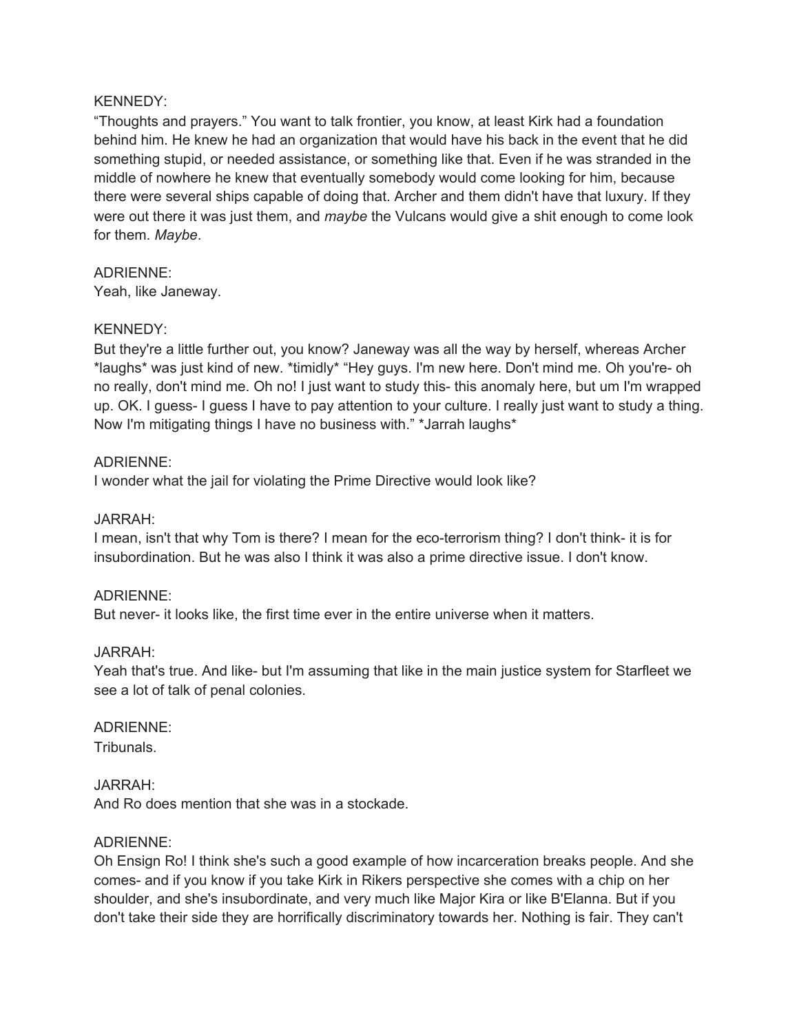#### KENNEDY:

"Thoughts and prayers." You want to talk frontier, you know, at least Kirk had a foundation behind him. He knew he had an organization that would have his back in the event that he did something stupid, or needed assistance, or something like that. Even if he was stranded in the middle of nowhere he knew that eventually somebody would come looking for him, because there were several ships capable of doing that. Archer and them didn't have that luxury. If they were out there it was just them, and *maybe* the Vulcans would give a shit enough to come look for them. *Maybe*.

## ADRIENNE:

Yeah, like Janeway.

#### KENNEDY:

But they're a little further out, you know? Janeway was all the way by herself, whereas Archer \*laughs\* was just kind of new. \*timidly\* "Hey guys. I'm new here. Don't mind me. Oh you're- oh no really, don't mind me. Oh no! I just want to study this- this anomaly here, but um I'm wrapped up. OK. I guess- I guess I have to pay attention to your culture. I really just want to study a thing. Now I'm mitigating things I have no business with." \*Jarrah laughs\*

## ADRIENNE:

I wonder what the jail for violating the Prime Directive would look like?

#### JARRAH:

I mean, isn't that why Tom is there? I mean for the eco-terrorism thing? I don't think- it is for insubordination. But he was also I think it was also a prime directive issue. I don't know.

## ADRIENNE:

But never- it looks like, the first time ever in the entire universe when it matters.

#### JARRAH:

Yeah that's true. And like- but I'm assuming that like in the main justice system for Starfleet we see a lot of talk of penal colonies.

# ADRIENNE:

Tribunals.

#### JARRAH:

And Ro does mention that she was in a stockade.

#### ADRIENNE:

Oh Ensign Ro! I think she's such a good example of how incarceration breaks people. And she comes- and if you know if you take Kirk in Rikers perspective she comes with a chip on her shoulder, and she's insubordinate, and very much like Major Kira or like B'Elanna. But if you don't take their side they are horrifically discriminatory towards her. Nothing is fair. They can't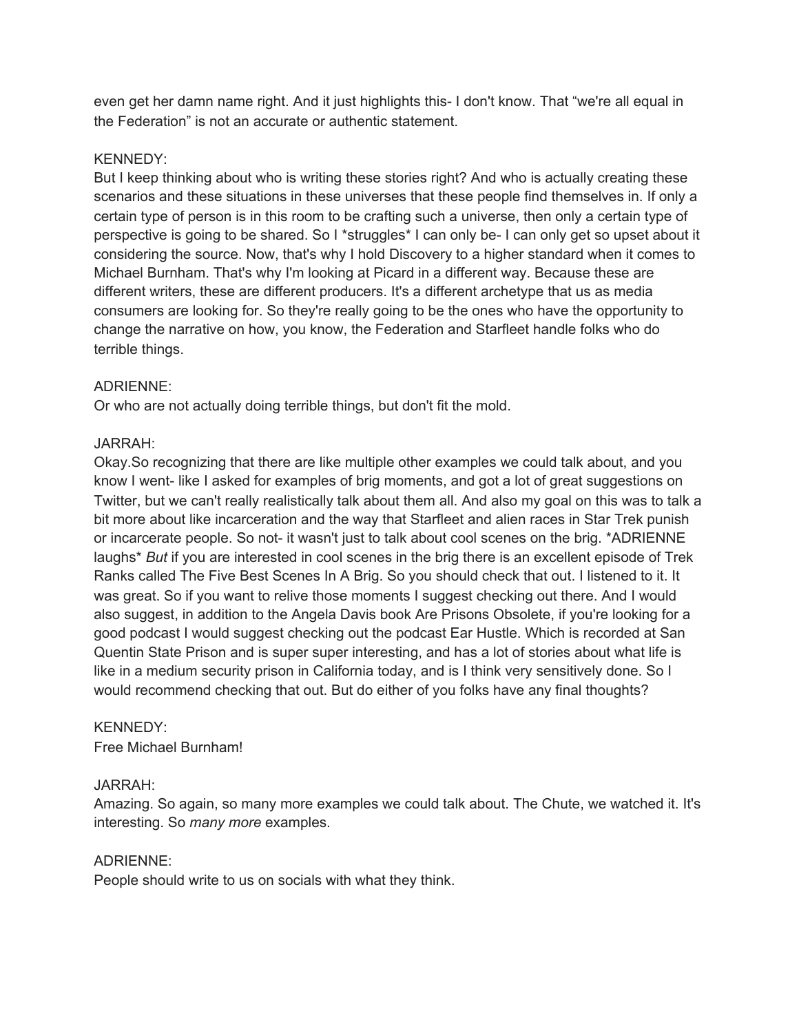even get her damn name right. And it just highlights this- I don't know. That "we're all equal in the Federation" is not an accurate or authentic statement.

## KENNEDY:

But I keep thinking about who is writing these stories right? And who is actually creating these scenarios and these situations in these universes that these people find themselves in. If only a certain type of person is in this room to be crafting such a universe, then only a certain type of perspective is going to be shared. So I \*struggles\* I can only be- I can only get so upset about it considering the source. Now, that's why I hold Discovery to a higher standard when it comes to Michael Burnham. That's why I'm looking at Picard in a different way. Because these are different writers, these are different producers. It's a different archetype that us as media consumers are looking for. So they're really going to be the ones who have the opportunity to change the narrative on how, you know, the Federation and Starfleet handle folks who do terrible things.

## ADRIENNE:

Or who are not actually doing terrible things, but don't fit the mold.

## JARRAH:

Okay.So recognizing that there are like multiple other examples we could talk about, and you know I went- like I asked for examples of brig moments, and got a lot of great suggestions on Twitter, but we can't really realistically talk about them all. And also my goal on this was to talk a bit more about like incarceration and the way that Starfleet and alien races in Star Trek punish or incarcerate people. So not- it wasn't just to talk about cool scenes on the brig. \*ADRIENNE laughs\* *But* if you are interested in cool scenes in the brig there is an excellent episode of Trek Ranks called The Five Best Scenes In A Brig. So you should check that out. I listened to it. It was great. So if you want to relive those moments I suggest checking out there. And I would also suggest, in addition to the Angela Davis book Are Prisons Obsolete, if you're looking for a good podcast I would suggest checking out the podcast Ear Hustle. Which is recorded at San Quentin State Prison and is super super interesting, and has a lot of stories about what life is like in a medium security prison in California today, and is I think very sensitively done. So I would recommend checking that out. But do either of you folks have any final thoughts?

#### KENNEDY:

Free Michael Burnham!

#### JARRAH:

Amazing. So again, so many more examples we could talk about. The Chute, we watched it. It's interesting. So *many more* examples.

#### ADRIENNE:

People should write to us on socials with what they think.